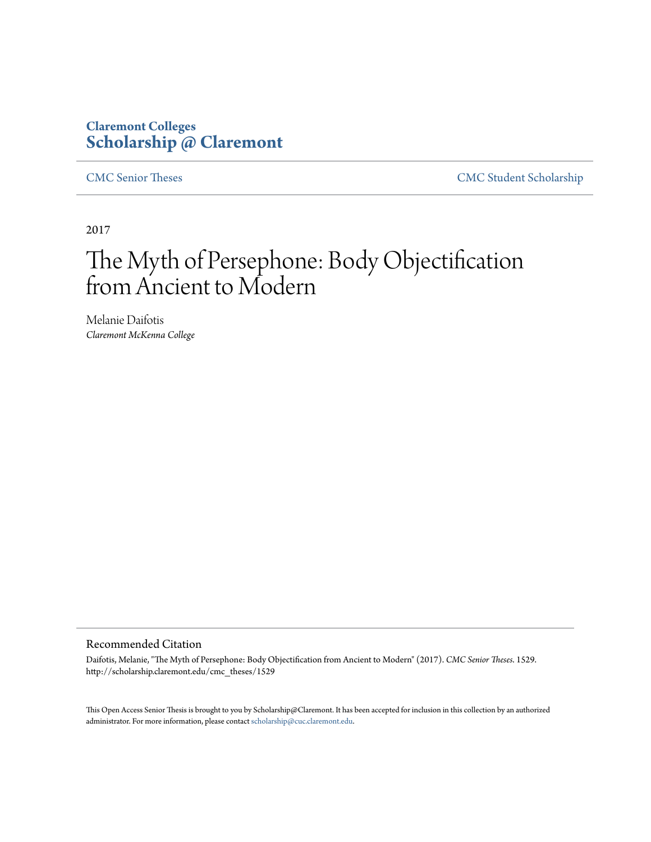## **Claremont Colleges [Scholarship @ Claremont](http://scholarship.claremont.edu)**

[CMC Senior Theses](http://scholarship.claremont.edu/cmc_theses) [CMC Student Scholarship](http://scholarship.claremont.edu/cmc_student)

2017

# The Myth of Persephone: Body Objectification from Ancient to Modern

Melanie Daifotis *Claremont McKenna College*

#### Recommended Citation

Daifotis, Melanie, "The Myth of Persephone: Body Objectification from Ancient to Modern" (2017). *CMC Senior Theses*. 1529. http://scholarship.claremont.edu/cmc\_theses/1529

This Open Access Senior Thesis is brought to you by Scholarship@Claremont. It has been accepted for inclusion in this collection by an authorized administrator. For more information, please contact [scholarship@cuc.claremont.edu.](mailto:scholarship@cuc.claremont.edu)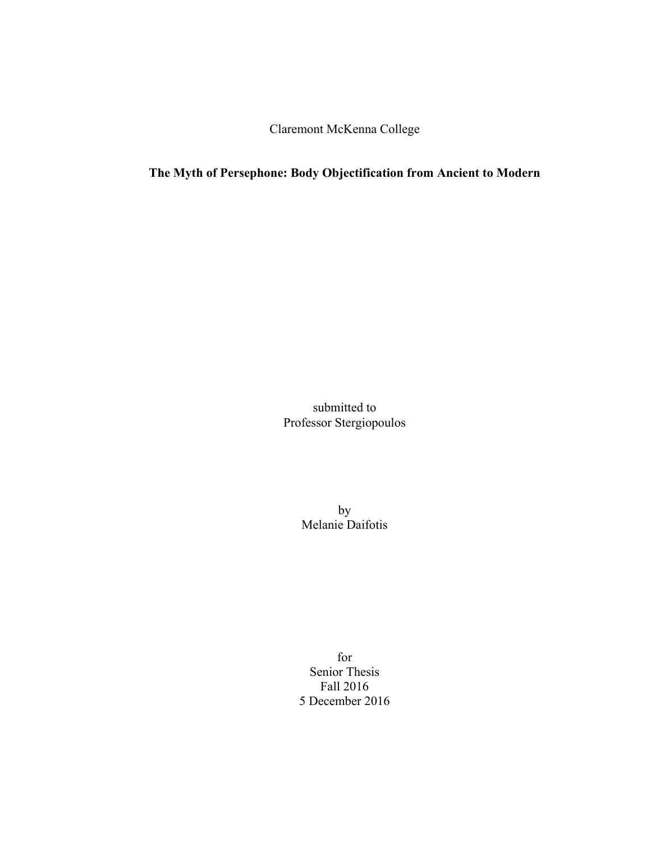Claremont McKenna College

### **The Myth of Persephone: Body Objectification from Ancient to Modern**

submitted to Professor Stergiopoulos

> by Melanie Daifotis

for Senior Thesis Fall 2016 5 December 2016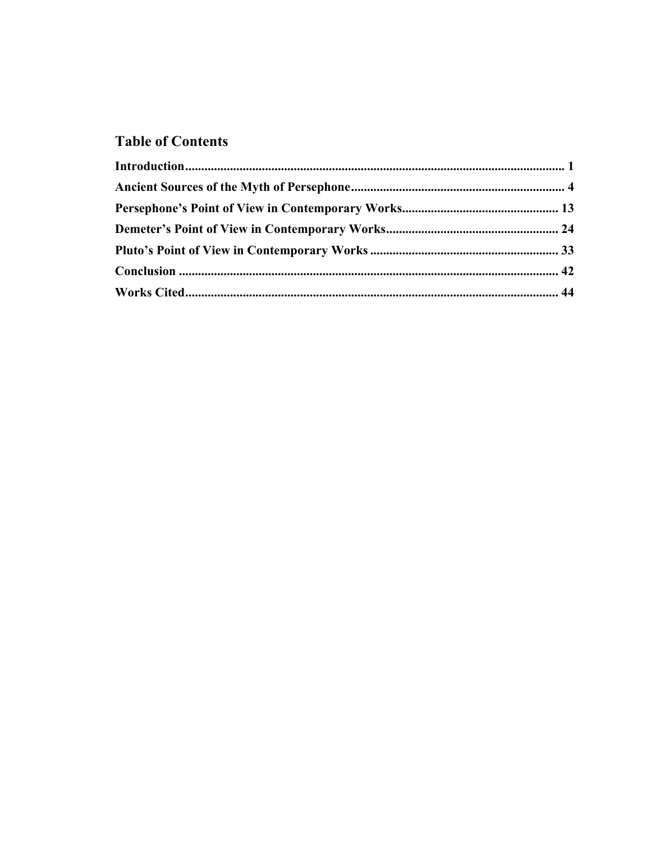## **Table of Contents**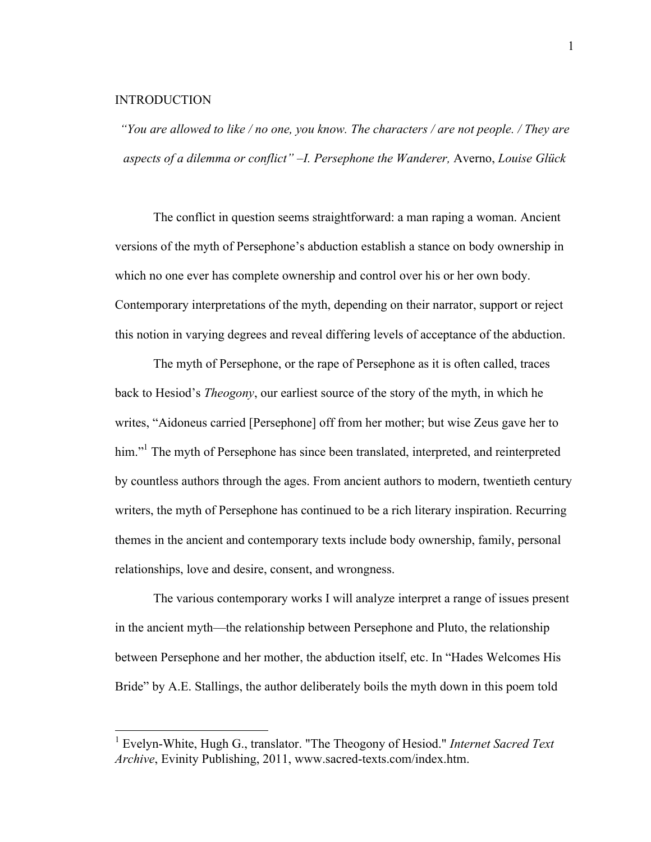#### **INTRODUCTION**

*"You are allowed to like / no one, you know. The characters / are not people. / They are aspects of a dilemma or conflict" –I. Persephone the Wanderer,* Averno, *Louise Glück*

The conflict in question seems straightforward: a man raping a woman. Ancient versions of the myth of Persephone's abduction establish a stance on body ownership in which no one ever has complete ownership and control over his or her own body. Contemporary interpretations of the myth, depending on their narrator, support or reject this notion in varying degrees and reveal differing levels of acceptance of the abduction.

The myth of Persephone, or the rape of Persephone as it is often called, traces back to Hesiod's *Theogony*, our earliest source of the story of the myth, in which he writes, "Aidoneus carried [Persephone] off from her mother; but wise Zeus gave her to him."<sup>1</sup> The myth of Persephone has since been translated, interpreted, and reinterpreted by countless authors through the ages. From ancient authors to modern, twentieth century writers, the myth of Persephone has continued to be a rich literary inspiration. Recurring themes in the ancient and contemporary texts include body ownership, family, personal relationships, love and desire, consent, and wrongness.

The various contemporary works I will analyze interpret a range of issues present in the ancient myth—the relationship between Persephone and Pluto, the relationship between Persephone and her mother, the abduction itself, etc. In "Hades Welcomes His Bride" by A.E. Stallings, the author deliberately boils the myth down in this poem told

 <sup>1</sup> Evelyn-White, Hugh G., translator. "The Theogony of Hesiod." *Internet Sacred Text Archive*, Evinity Publishing, 2011, www.sacred-texts.com/index.htm.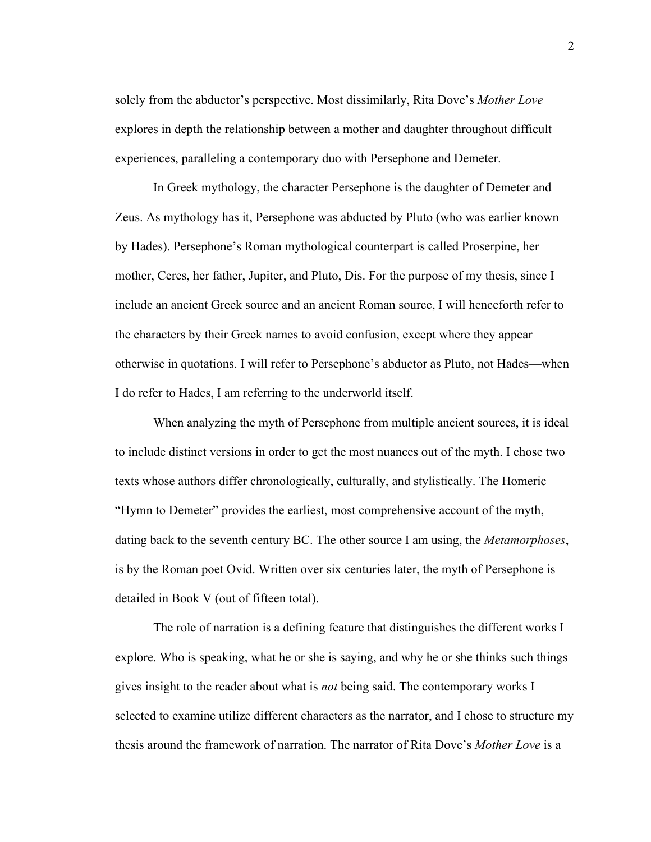solely from the abductor's perspective. Most dissimilarly, Rita Dove's *Mother Love* explores in depth the relationship between a mother and daughter throughout difficult experiences, paralleling a contemporary duo with Persephone and Demeter.

In Greek mythology, the character Persephone is the daughter of Demeter and Zeus. As mythology has it, Persephone was abducted by Pluto (who was earlier known by Hades). Persephone's Roman mythological counterpart is called Proserpine, her mother, Ceres, her father, Jupiter, and Pluto, Dis. For the purpose of my thesis, since I include an ancient Greek source and an ancient Roman source, I will henceforth refer to the characters by their Greek names to avoid confusion, except where they appear otherwise in quotations. I will refer to Persephone's abductor as Pluto, not Hades—when I do refer to Hades, I am referring to the underworld itself.

When analyzing the myth of Persephone from multiple ancient sources, it is ideal to include distinct versions in order to get the most nuances out of the myth. I chose two texts whose authors differ chronologically, culturally, and stylistically. The Homeric "Hymn to Demeter" provides the earliest, most comprehensive account of the myth, dating back to the seventh century BC. The other source I am using, the *Metamorphoses*, is by the Roman poet Ovid. Written over six centuries later, the myth of Persephone is detailed in Book V (out of fifteen total).

The role of narration is a defining feature that distinguishes the different works I explore. Who is speaking, what he or she is saying, and why he or she thinks such things gives insight to the reader about what is *not* being said. The contemporary works I selected to examine utilize different characters as the narrator, and I chose to structure my thesis around the framework of narration. The narrator of Rita Dove's *Mother Love* is a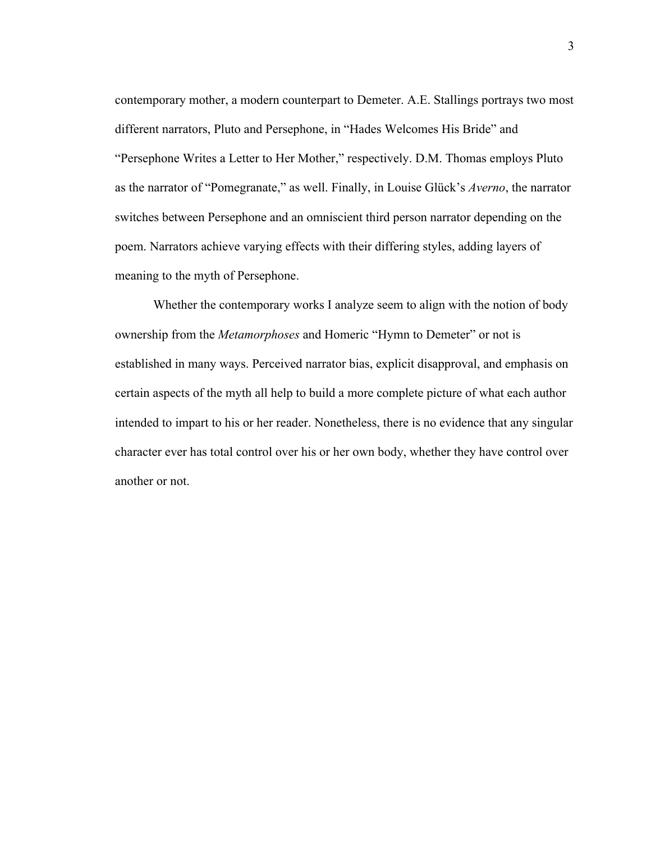contemporary mother, a modern counterpart to Demeter. A.E. Stallings portrays two most different narrators, Pluto and Persephone, in "Hades Welcomes His Bride" and "Persephone Writes a Letter to Her Mother," respectively. D.M. Thomas employs Pluto as the narrator of "Pomegranate," as well. Finally, in Louise Glück's *Averno*, the narrator switches between Persephone and an omniscient third person narrator depending on the poem. Narrators achieve varying effects with their differing styles, adding layers of meaning to the myth of Persephone.

Whether the contemporary works I analyze seem to align with the notion of body ownership from the *Metamorphoses* and Homeric "Hymn to Demeter" or not is established in many ways. Perceived narrator bias, explicit disapproval, and emphasis on certain aspects of the myth all help to build a more complete picture of what each author intended to impart to his or her reader. Nonetheless, there is no evidence that any singular character ever has total control over his or her own body, whether they have control over another or not.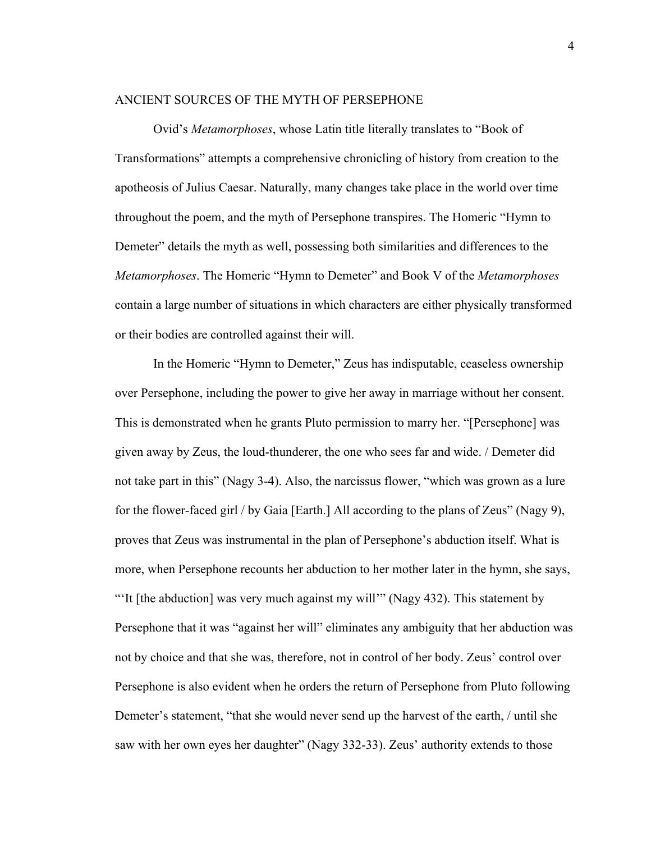#### ANCIENT SOURCES OF THE MYTH OF PERSEPHONE

Ovid's *Metamorphoses*, whose Latin title literally translates to "Book of Transformations" attempts a comprehensive chronicling of history from creation to the apotheosis of Julius Caesar. Naturally, many changes take place in the world over time throughout the poem, and the myth of Persephone transpires. The Homeric "Hymn to Demeter" details the myth as well, possessing both similarities and differences to the *Metamorphoses*. The Homeric "Hymn to Demeter" and Book V of the *Metamorphoses* contain a large number of situations in which characters are either physically transformed or their bodies are controlled against their will.

In the Homeric "Hymn to Demeter," Zeus has indisputable, ceaseless ownership over Persephone, including the power to give her away in marriage without her consent. This is demonstrated when he grants Pluto permission to marry her. "[Persephone] was given away by Zeus, the loud-thunderer, the one who sees far and wide. / Demeter did not take part in this" (Nagy 3-4). Also, the narcissus flower, "which was grown as a lure for the flower-faced girl / by Gaia [Earth.] All according to the plans of Zeus" (Nagy 9), proves that Zeus was instrumental in the plan of Persephone's abduction itself. What is more, when Persephone recounts her abduction to her mother later in the hymn, she says, "'It [the abduction] was very much against my will'" (Nagy 432). This statement by Persephone that it was "against her will" eliminates any ambiguity that her abduction was not by choice and that she was, therefore, not in control of her body. Zeus' control over Persephone is also evident when he orders the return of Persephone from Pluto following Demeter's statement, "that she would never send up the harvest of the earth, / until she saw with her own eyes her daughter" (Nagy 332-33). Zeus' authority extends to those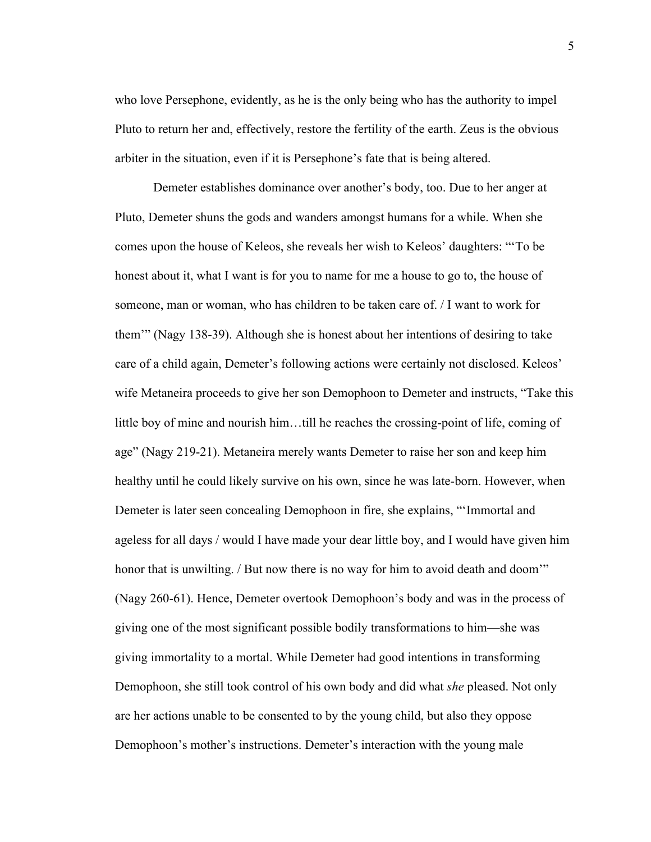who love Persephone, evidently, as he is the only being who has the authority to impel Pluto to return her and, effectively, restore the fertility of the earth. Zeus is the obvious arbiter in the situation, even if it is Persephone's fate that is being altered.

Demeter establishes dominance over another's body, too. Due to her anger at Pluto, Demeter shuns the gods and wanders amongst humans for a while. When she comes upon the house of Keleos, she reveals her wish to Keleos' daughters: "'To be honest about it, what I want is for you to name for me a house to go to, the house of someone, man or woman, who has children to be taken care of. / I want to work for them'" (Nagy 138-39). Although she is honest about her intentions of desiring to take care of a child again, Demeter's following actions were certainly not disclosed. Keleos' wife Metaneira proceeds to give her son Demophoon to Demeter and instructs, "Take this little boy of mine and nourish him…till he reaches the crossing-point of life, coming of age" (Nagy 219-21). Metaneira merely wants Demeter to raise her son and keep him healthy until he could likely survive on his own, since he was late-born. However, when Demeter is later seen concealing Demophoon in fire, she explains, "'Immortal and ageless for all days / would I have made your dear little boy, and I would have given him honor that is unwilting. / But now there is no way for him to avoid death and doom'" (Nagy 260-61). Hence, Demeter overtook Demophoon's body and was in the process of giving one of the most significant possible bodily transformations to him—she was giving immortality to a mortal. While Demeter had good intentions in transforming Demophoon, she still took control of his own body and did what *she* pleased. Not only are her actions unable to be consented to by the young child, but also they oppose Demophoon's mother's instructions. Demeter's interaction with the young male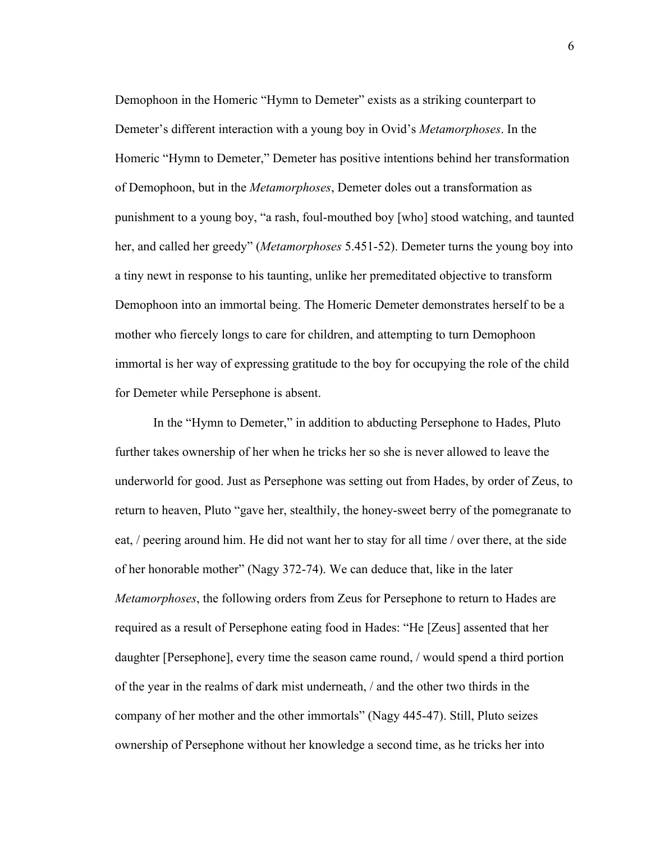Demophoon in the Homeric "Hymn to Demeter" exists as a striking counterpart to Demeter's different interaction with a young boy in Ovid's *Metamorphoses*. In the Homeric "Hymn to Demeter," Demeter has positive intentions behind her transformation of Demophoon, but in the *Metamorphoses*, Demeter doles out a transformation as punishment to a young boy, "a rash, foul-mouthed boy [who] stood watching, and taunted her, and called her greedy" (*Metamorphoses* 5.451-52). Demeter turns the young boy into a tiny newt in response to his taunting, unlike her premeditated objective to transform Demophoon into an immortal being. The Homeric Demeter demonstrates herself to be a mother who fiercely longs to care for children, and attempting to turn Demophoon immortal is her way of expressing gratitude to the boy for occupying the role of the child for Demeter while Persephone is absent.

In the "Hymn to Demeter," in addition to abducting Persephone to Hades, Pluto further takes ownership of her when he tricks her so she is never allowed to leave the underworld for good. Just as Persephone was setting out from Hades, by order of Zeus, to return to heaven, Pluto "gave her, stealthily, the honey-sweet berry of the pomegranate to eat, / peering around him. He did not want her to stay for all time / over there, at the side of her honorable mother" (Nagy 372-74). We can deduce that, like in the later *Metamorphoses*, the following orders from Zeus for Persephone to return to Hades are required as a result of Persephone eating food in Hades: "He [Zeus] assented that her daughter [Persephone], every time the season came round, / would spend a third portion of the year in the realms of dark mist underneath, / and the other two thirds in the company of her mother and the other immortals" (Nagy 445-47). Still, Pluto seizes ownership of Persephone without her knowledge a second time, as he tricks her into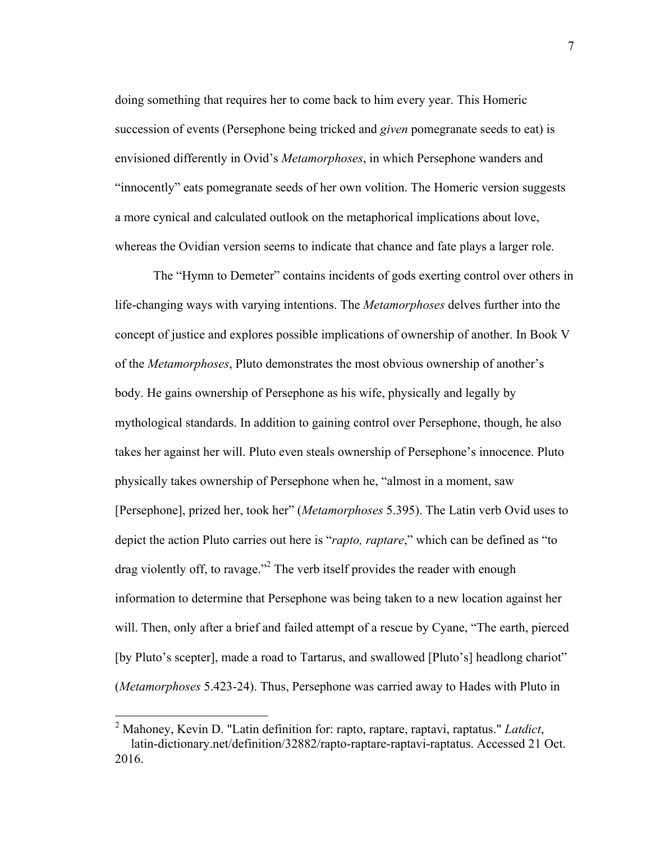doing something that requires her to come back to him every year. This Homeric succession of events (Persephone being tricked and *given* pomegranate seeds to eat) is envisioned differently in Ovid's *Metamorphoses*, in which Persephone wanders and "innocently" eats pomegranate seeds of her own volition. The Homeric version suggests a more cynical and calculated outlook on the metaphorical implications about love, whereas the Ovidian version seems to indicate that chance and fate plays a larger role.

The "Hymn to Demeter" contains incidents of gods exerting control over others in life-changing ways with varying intentions. The *Metamorphoses* delves further into the concept of justice and explores possible implications of ownership of another. In Book V of the *Metamorphoses*, Pluto demonstrates the most obvious ownership of another's body. He gains ownership of Persephone as his wife, physically and legally by mythological standards. In addition to gaining control over Persephone, though, he also takes her against her will. Pluto even steals ownership of Persephone's innocence. Pluto physically takes ownership of Persephone when he, "almost in a moment, saw [Persephone], prized her, took her" (*Metamorphoses* 5.395). The Latin verb Ovid uses to depict the action Pluto carries out here is "*rapto, raptare*," which can be defined as "to drag violently off, to ravage."<sup>2</sup> The verb itself provides the reader with enough information to determine that Persephone was being taken to a new location against her will. Then, only after a brief and failed attempt of a rescue by Cyane, "The earth, pierced [by Pluto's scepter], made a road to Tartarus, and swallowed [Pluto's] headlong chariot" (*Metamorphoses* 5.423-24). Thus, Persephone was carried away to Hades with Pluto in

 <sup>2</sup> Mahoney, Kevin D. "Latin definition for: rapto, raptare, raptavi, raptatus." *Latdict*, latin-dictionary.net/definition/32882/rapto-raptare-raptavi-raptatus. Accessed 21 Oct. 2016.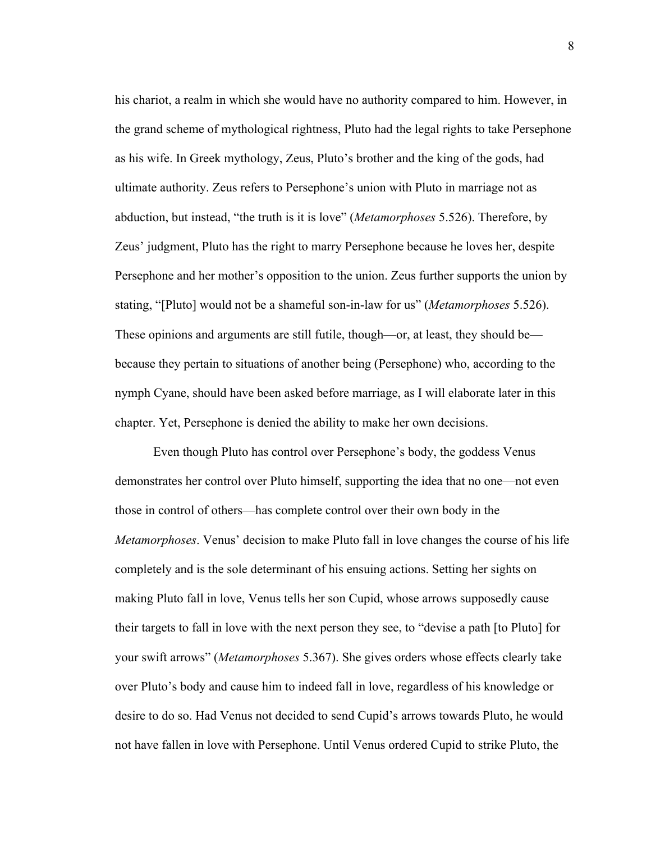his chariot, a realm in which she would have no authority compared to him. However, in the grand scheme of mythological rightness, Pluto had the legal rights to take Persephone as his wife. In Greek mythology, Zeus, Pluto's brother and the king of the gods, had ultimate authority. Zeus refers to Persephone's union with Pluto in marriage not as abduction, but instead, "the truth is it is love" (*Metamorphoses* 5.526). Therefore, by Zeus' judgment, Pluto has the right to marry Persephone because he loves her, despite Persephone and her mother's opposition to the union. Zeus further supports the union by stating, "[Pluto] would not be a shameful son-in-law for us" (*Metamorphoses* 5.526). These opinions and arguments are still futile, though—or, at least, they should be because they pertain to situations of another being (Persephone) who, according to the nymph Cyane, should have been asked before marriage, as I will elaborate later in this chapter. Yet, Persephone is denied the ability to make her own decisions.

Even though Pluto has control over Persephone's body, the goddess Venus demonstrates her control over Pluto himself, supporting the idea that no one—not even those in control of others—has complete control over their own body in the *Metamorphoses*. Venus' decision to make Pluto fall in love changes the course of his life completely and is the sole determinant of his ensuing actions. Setting her sights on making Pluto fall in love, Venus tells her son Cupid, whose arrows supposedly cause their targets to fall in love with the next person they see, to "devise a path [to Pluto] for your swift arrows" (*Metamorphoses* 5.367). She gives orders whose effects clearly take over Pluto's body and cause him to indeed fall in love, regardless of his knowledge or desire to do so. Had Venus not decided to send Cupid's arrows towards Pluto, he would not have fallen in love with Persephone. Until Venus ordered Cupid to strike Pluto, the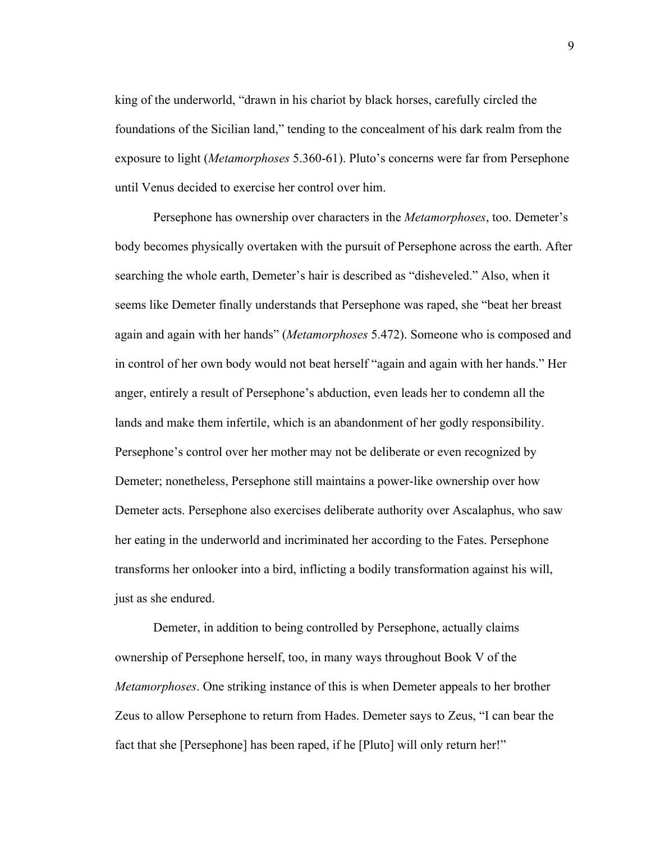king of the underworld, "drawn in his chariot by black horses, carefully circled the foundations of the Sicilian land," tending to the concealment of his dark realm from the exposure to light (*Metamorphoses* 5.360-61). Pluto's concerns were far from Persephone until Venus decided to exercise her control over him.

Persephone has ownership over characters in the *Metamorphoses*, too. Demeter's body becomes physically overtaken with the pursuit of Persephone across the earth. After searching the whole earth, Demeter's hair is described as "disheveled." Also, when it seems like Demeter finally understands that Persephone was raped, she "beat her breast again and again with her hands" (*Metamorphoses* 5.472). Someone who is composed and in control of her own body would not beat herself "again and again with her hands." Her anger, entirely a result of Persephone's abduction, even leads her to condemn all the lands and make them infertile, which is an abandonment of her godly responsibility. Persephone's control over her mother may not be deliberate or even recognized by Demeter; nonetheless, Persephone still maintains a power-like ownership over how Demeter acts. Persephone also exercises deliberate authority over Ascalaphus, who saw her eating in the underworld and incriminated her according to the Fates. Persephone transforms her onlooker into a bird, inflicting a bodily transformation against his will, just as she endured.

Demeter, in addition to being controlled by Persephone, actually claims ownership of Persephone herself, too, in many ways throughout Book V of the *Metamorphoses*. One striking instance of this is when Demeter appeals to her brother Zeus to allow Persephone to return from Hades. Demeter says to Zeus, "I can bear the fact that she [Persephone] has been raped, if he [Pluto] will only return her!"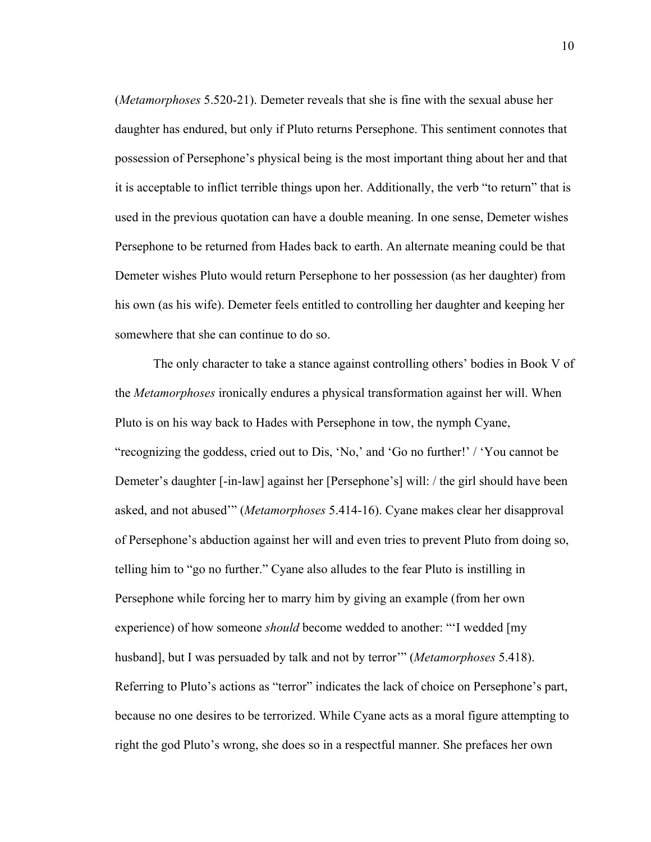(*Metamorphoses* 5.520-21). Demeter reveals that she is fine with the sexual abuse her daughter has endured, but only if Pluto returns Persephone. This sentiment connotes that possession of Persephone's physical being is the most important thing about her and that it is acceptable to inflict terrible things upon her. Additionally, the verb "to return" that is used in the previous quotation can have a double meaning. In one sense, Demeter wishes Persephone to be returned from Hades back to earth. An alternate meaning could be that Demeter wishes Pluto would return Persephone to her possession (as her daughter) from his own (as his wife). Demeter feels entitled to controlling her daughter and keeping her somewhere that she can continue to do so.

The only character to take a stance against controlling others' bodies in Book V of the *Metamorphoses* ironically endures a physical transformation against her will. When Pluto is on his way back to Hades with Persephone in tow, the nymph Cyane, "recognizing the goddess, cried out to Dis, 'No,' and 'Go no further!' / 'You cannot be Demeter's daughter [-in-law] against her [Persephone's] will: / the girl should have been asked, and not abused'" (*Metamorphoses* 5.414-16). Cyane makes clear her disapproval of Persephone's abduction against her will and even tries to prevent Pluto from doing so, telling him to "go no further." Cyane also alludes to the fear Pluto is instilling in Persephone while forcing her to marry him by giving an example (from her own experience) of how someone *should* become wedded to another: "'I wedded [my husband], but I was persuaded by talk and not by terror'" (*Metamorphoses* 5.418). Referring to Pluto's actions as "terror" indicates the lack of choice on Persephone's part, because no one desires to be terrorized. While Cyane acts as a moral figure attempting to right the god Pluto's wrong, she does so in a respectful manner. She prefaces her own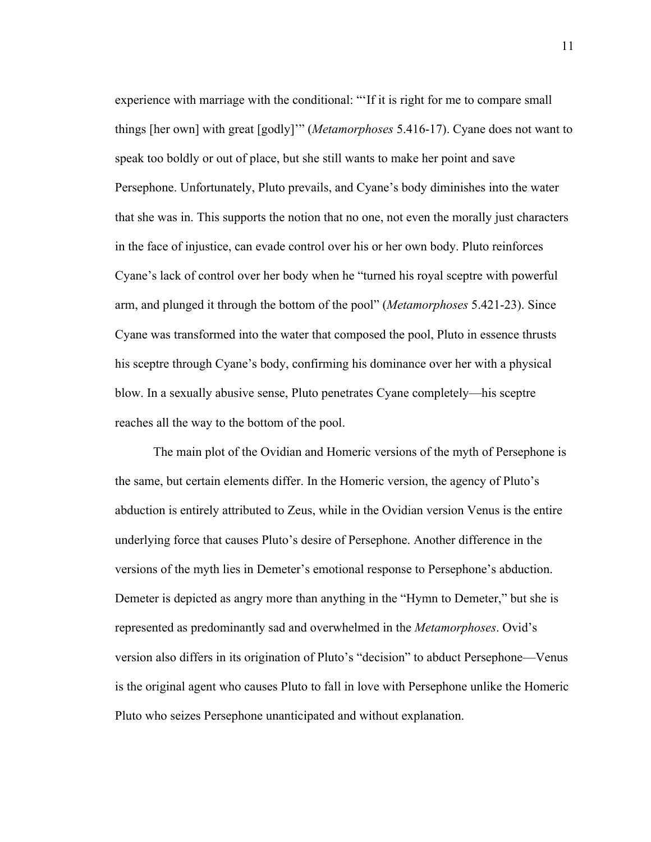experience with marriage with the conditional: "'If it is right for me to compare small things [her own] with great [godly]'" (*Metamorphoses* 5.416-17). Cyane does not want to speak too boldly or out of place, but she still wants to make her point and save Persephone. Unfortunately, Pluto prevails, and Cyane's body diminishes into the water that she was in. This supports the notion that no one, not even the morally just characters in the face of injustice, can evade control over his or her own body. Pluto reinforces Cyane's lack of control over her body when he "turned his royal sceptre with powerful arm, and plunged it through the bottom of the pool" (*Metamorphoses* 5.421-23). Since Cyane was transformed into the water that composed the pool, Pluto in essence thrusts his sceptre through Cyane's body, confirming his dominance over her with a physical blow. In a sexually abusive sense, Pluto penetrates Cyane completely—his sceptre reaches all the way to the bottom of the pool.

The main plot of the Ovidian and Homeric versions of the myth of Persephone is the same, but certain elements differ. In the Homeric version, the agency of Pluto's abduction is entirely attributed to Zeus, while in the Ovidian version Venus is the entire underlying force that causes Pluto's desire of Persephone. Another difference in the versions of the myth lies in Demeter's emotional response to Persephone's abduction. Demeter is depicted as angry more than anything in the "Hymn to Demeter," but she is represented as predominantly sad and overwhelmed in the *Metamorphoses*. Ovid's version also differs in its origination of Pluto's "decision" to abduct Persephone—Venus is the original agent who causes Pluto to fall in love with Persephone unlike the Homeric Pluto who seizes Persephone unanticipated and without explanation.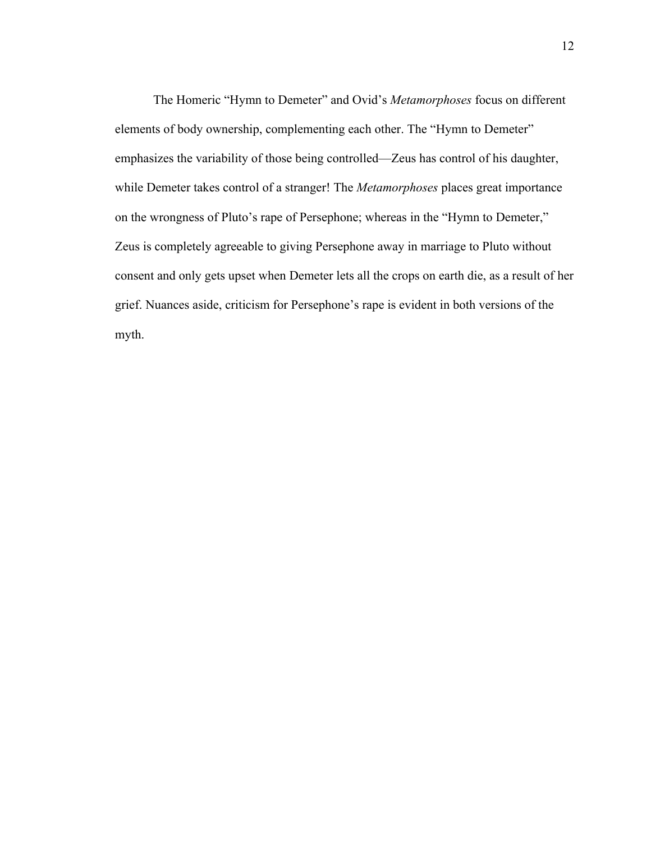The Homeric "Hymn to Demeter" and Ovid's *Metamorphoses* focus on different elements of body ownership, complementing each other. The "Hymn to Demeter" emphasizes the variability of those being controlled—Zeus has control of his daughter, while Demeter takes control of a stranger! The *Metamorphoses* places great importance on the wrongness of Pluto's rape of Persephone; whereas in the "Hymn to Demeter," Zeus is completely agreeable to giving Persephone away in marriage to Pluto without consent and only gets upset when Demeter lets all the crops on earth die, as a result of her grief. Nuances aside, criticism for Persephone's rape is evident in both versions of the myth.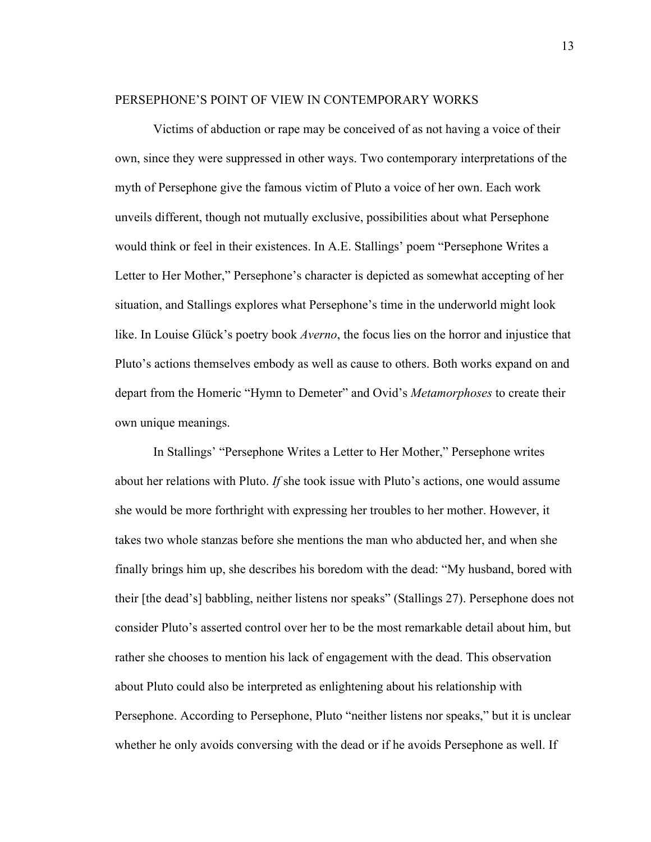#### PERSEPHONE'S POINT OF VIEW IN CONTEMPORARY WORKS

Victims of abduction or rape may be conceived of as not having a voice of their own, since they were suppressed in other ways. Two contemporary interpretations of the myth of Persephone give the famous victim of Pluto a voice of her own. Each work unveils different, though not mutually exclusive, possibilities about what Persephone would think or feel in their existences. In A.E. Stallings' poem "Persephone Writes a Letter to Her Mother," Persephone's character is depicted as somewhat accepting of her situation, and Stallings explores what Persephone's time in the underworld might look like. In Louise Glück's poetry book *Averno*, the focus lies on the horror and injustice that Pluto's actions themselves embody as well as cause to others. Both works expand on and depart from the Homeric "Hymn to Demeter" and Ovid's *Metamorphoses* to create their own unique meanings.

In Stallings' "Persephone Writes a Letter to Her Mother," Persephone writes about her relations with Pluto. *If* she took issue with Pluto's actions, one would assume she would be more forthright with expressing her troubles to her mother. However, it takes two whole stanzas before she mentions the man who abducted her, and when she finally brings him up, she describes his boredom with the dead: "My husband, bored with their [the dead's] babbling, neither listens nor speaks" (Stallings 27). Persephone does not consider Pluto's asserted control over her to be the most remarkable detail about him, but rather she chooses to mention his lack of engagement with the dead. This observation about Pluto could also be interpreted as enlightening about his relationship with Persephone. According to Persephone, Pluto "neither listens nor speaks," but it is unclear whether he only avoids conversing with the dead or if he avoids Persephone as well. If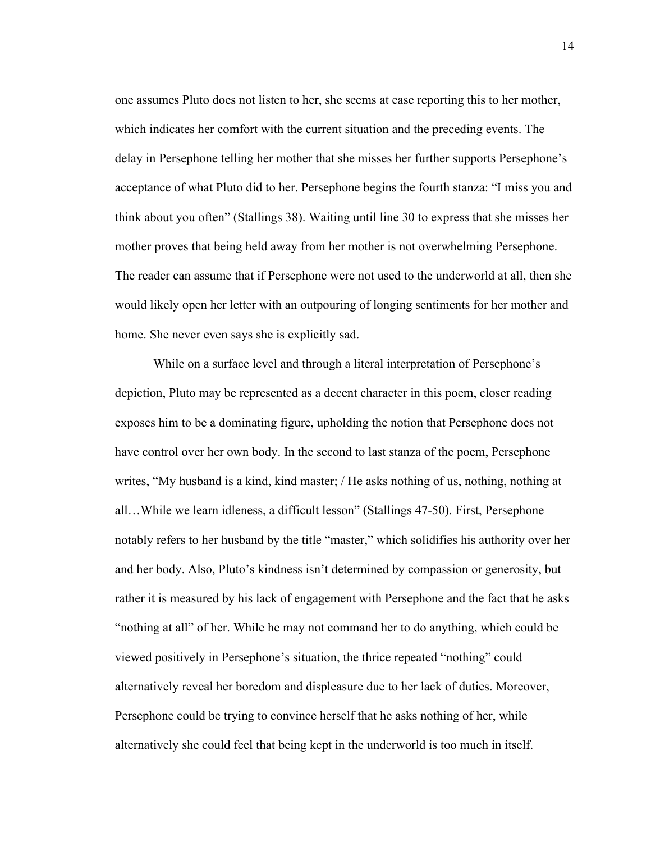one assumes Pluto does not listen to her, she seems at ease reporting this to her mother, which indicates her comfort with the current situation and the preceding events. The delay in Persephone telling her mother that she misses her further supports Persephone's acceptance of what Pluto did to her. Persephone begins the fourth stanza: "I miss you and think about you often" (Stallings 38). Waiting until line 30 to express that she misses her mother proves that being held away from her mother is not overwhelming Persephone. The reader can assume that if Persephone were not used to the underworld at all, then she would likely open her letter with an outpouring of longing sentiments for her mother and home. She never even says she is explicitly sad.

While on a surface level and through a literal interpretation of Persephone's depiction, Pluto may be represented as a decent character in this poem, closer reading exposes him to be a dominating figure, upholding the notion that Persephone does not have control over her own body. In the second to last stanza of the poem, Persephone writes, "My husband is a kind, kind master; / He asks nothing of us, nothing, nothing at all…While we learn idleness, a difficult lesson" (Stallings 47-50). First, Persephone notably refers to her husband by the title "master," which solidifies his authority over her and her body. Also, Pluto's kindness isn't determined by compassion or generosity, but rather it is measured by his lack of engagement with Persephone and the fact that he asks "nothing at all" of her. While he may not command her to do anything, which could be viewed positively in Persephone's situation, the thrice repeated "nothing" could alternatively reveal her boredom and displeasure due to her lack of duties. Moreover, Persephone could be trying to convince herself that he asks nothing of her, while alternatively she could feel that being kept in the underworld is too much in itself.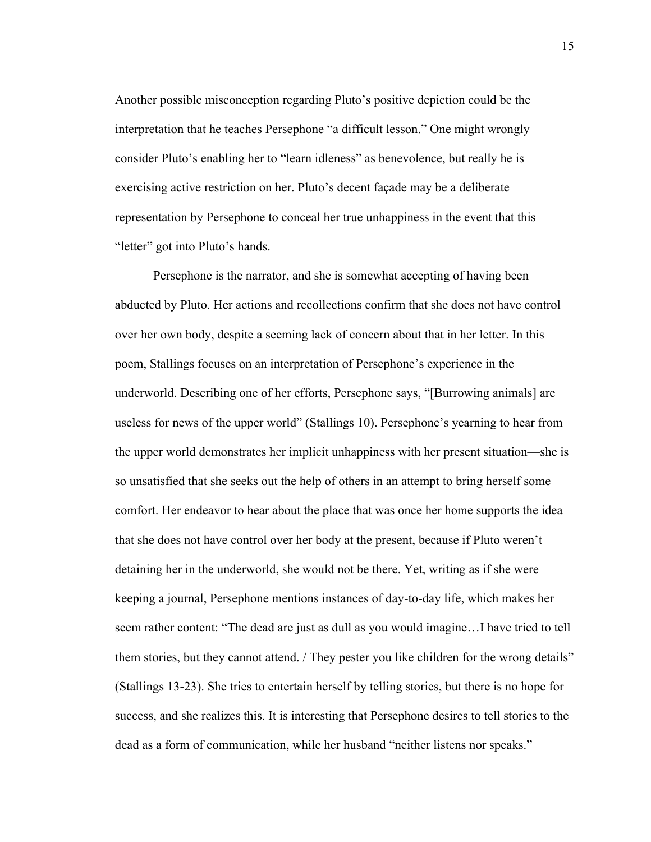Another possible misconception regarding Pluto's positive depiction could be the interpretation that he teaches Persephone "a difficult lesson." One might wrongly consider Pluto's enabling her to "learn idleness" as benevolence, but really he is exercising active restriction on her. Pluto's decent façade may be a deliberate representation by Persephone to conceal her true unhappiness in the event that this "letter" got into Pluto's hands.

Persephone is the narrator, and she is somewhat accepting of having been abducted by Pluto. Her actions and recollections confirm that she does not have control over her own body, despite a seeming lack of concern about that in her letter. In this poem, Stallings focuses on an interpretation of Persephone's experience in the underworld. Describing one of her efforts, Persephone says, "[Burrowing animals] are useless for news of the upper world" (Stallings 10). Persephone's yearning to hear from the upper world demonstrates her implicit unhappiness with her present situation—she is so unsatisfied that she seeks out the help of others in an attempt to bring herself some comfort. Her endeavor to hear about the place that was once her home supports the idea that she does not have control over her body at the present, because if Pluto weren't detaining her in the underworld, she would not be there. Yet, writing as if she were keeping a journal, Persephone mentions instances of day-to-day life, which makes her seem rather content: "The dead are just as dull as you would imagine…I have tried to tell them stories, but they cannot attend. / They pester you like children for the wrong details" (Stallings 13-23). She tries to entertain herself by telling stories, but there is no hope for success, and she realizes this. It is interesting that Persephone desires to tell stories to the dead as a form of communication, while her husband "neither listens nor speaks."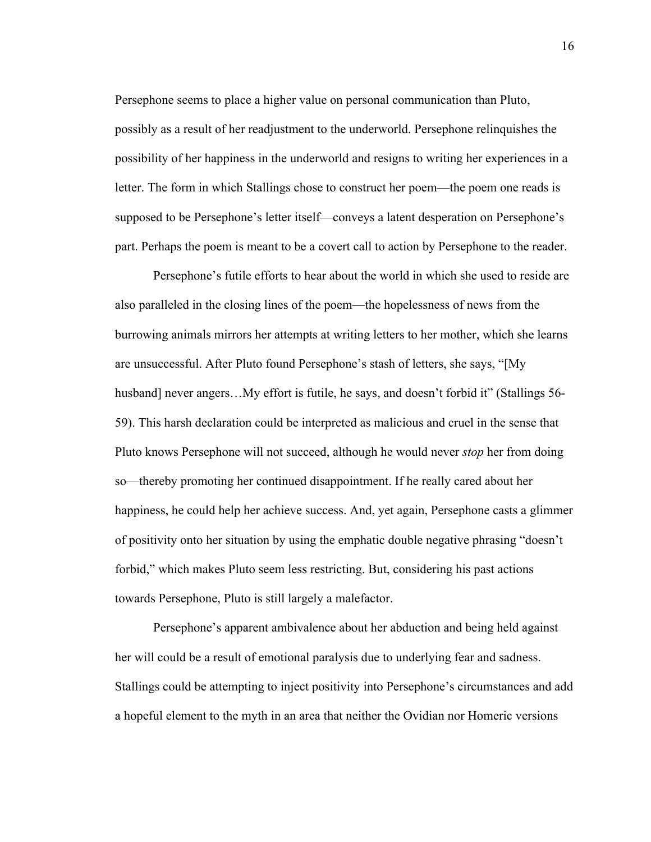Persephone seems to place a higher value on personal communication than Pluto, possibly as a result of her readjustment to the underworld. Persephone relinquishes the possibility of her happiness in the underworld and resigns to writing her experiences in a letter. The form in which Stallings chose to construct her poem—the poem one reads is supposed to be Persephone's letter itself—conveys a latent desperation on Persephone's part. Perhaps the poem is meant to be a covert call to action by Persephone to the reader.

Persephone's futile efforts to hear about the world in which she used to reside are also paralleled in the closing lines of the poem—the hopelessness of news from the burrowing animals mirrors her attempts at writing letters to her mother, which she learns are unsuccessful. After Pluto found Persephone's stash of letters, she says, "[My husband] never angers...My effort is futile, he says, and doesn't forbid it" (Stallings 56-59). This harsh declaration could be interpreted as malicious and cruel in the sense that Pluto knows Persephone will not succeed, although he would never *stop* her from doing so—thereby promoting her continued disappointment. If he really cared about her happiness, he could help her achieve success. And, yet again, Persephone casts a glimmer of positivity onto her situation by using the emphatic double negative phrasing "doesn't forbid," which makes Pluto seem less restricting. But, considering his past actions towards Persephone, Pluto is still largely a malefactor.

Persephone's apparent ambivalence about her abduction and being held against her will could be a result of emotional paralysis due to underlying fear and sadness. Stallings could be attempting to inject positivity into Persephone's circumstances and add a hopeful element to the myth in an area that neither the Ovidian nor Homeric versions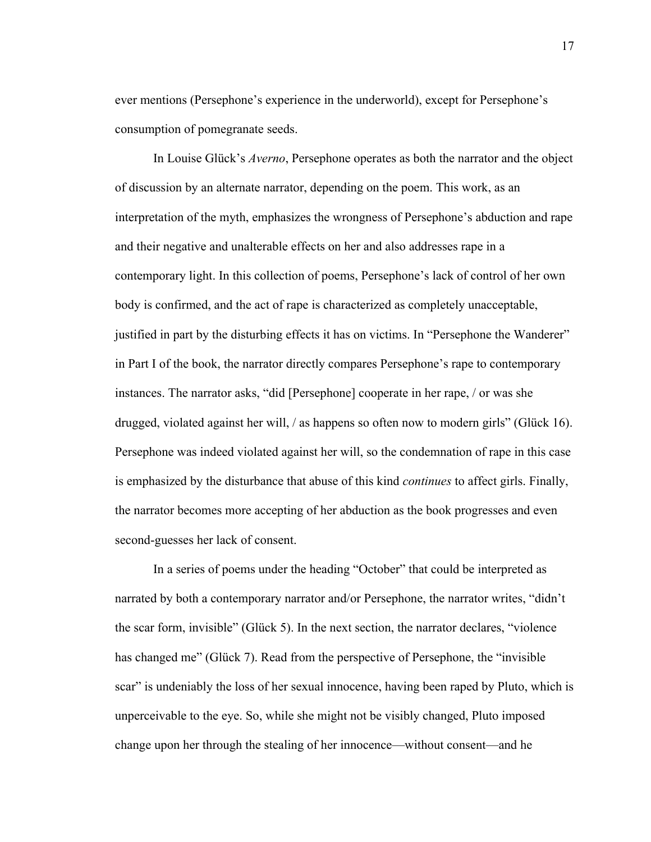ever mentions (Persephone's experience in the underworld), except for Persephone's consumption of pomegranate seeds.

In Louise Glück's *Averno*, Persephone operates as both the narrator and the object of discussion by an alternate narrator, depending on the poem. This work, as an interpretation of the myth, emphasizes the wrongness of Persephone's abduction and rape and their negative and unalterable effects on her and also addresses rape in a contemporary light. In this collection of poems, Persephone's lack of control of her own body is confirmed, and the act of rape is characterized as completely unacceptable, justified in part by the disturbing effects it has on victims. In "Persephone the Wanderer" in Part I of the book, the narrator directly compares Persephone's rape to contemporary instances. The narrator asks, "did [Persephone] cooperate in her rape, / or was she drugged, violated against her will, / as happens so often now to modern girls" (Glück 16). Persephone was indeed violated against her will, so the condemnation of rape in this case is emphasized by the disturbance that abuse of this kind *continues* to affect girls. Finally, the narrator becomes more accepting of her abduction as the book progresses and even second-guesses her lack of consent.

In a series of poems under the heading "October" that could be interpreted as narrated by both a contemporary narrator and/or Persephone, the narrator writes, "didn't the scar form, invisible" (Glück 5). In the next section, the narrator declares, "violence has changed me" (Glück 7). Read from the perspective of Persephone, the "invisible scar" is undeniably the loss of her sexual innocence, having been raped by Pluto, which is unperceivable to the eye. So, while she might not be visibly changed, Pluto imposed change upon her through the stealing of her innocence—without consent—and he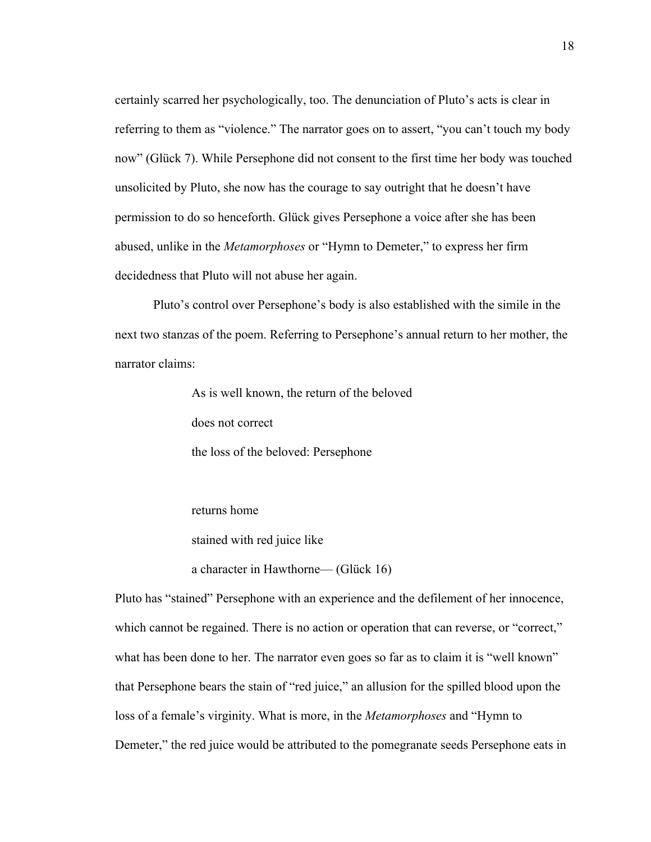certainly scarred her psychologically, too. The denunciation of Pluto's acts is clear in referring to them as "violence." The narrator goes on to assert, "you can't touch my body now" (Glück 7). While Persephone did not consent to the first time her body was touched unsolicited by Pluto, she now has the courage to say outright that he doesn't have permission to do so henceforth. Glück gives Persephone a voice after she has been abused, unlike in the *Metamorphoses* or "Hymn to Demeter," to express her firm decidedness that Pluto will not abuse her again.

Pluto's control over Persephone's body is also established with the simile in the next two stanzas of the poem. Referring to Persephone's annual return to her mother, the narrator claims:

As is well known, the return of the beloved

does not correct

the loss of the beloved: Persephone

returns home stained with red juice like

a character in Hawthorne— (Glück 16)

Pluto has "stained" Persephone with an experience and the defilement of her innocence, which cannot be regained. There is no action or operation that can reverse, or "correct," what has been done to her. The narrator even goes so far as to claim it is "well known" that Persephone bears the stain of "red juice," an allusion for the spilled blood upon the loss of a female's virginity. What is more, in the *Metamorphoses* and "Hymn to Demeter," the red juice would be attributed to the pomegranate seeds Persephone eats in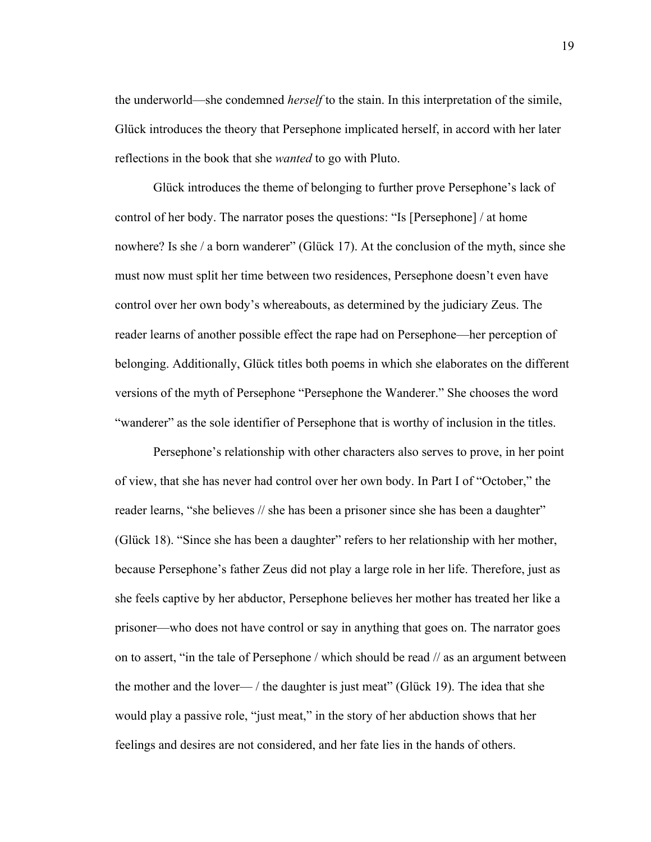the underworld—she condemned *herself* to the stain. In this interpretation of the simile, Glück introduces the theory that Persephone implicated herself, in accord with her later reflections in the book that she *wanted* to go with Pluto.

Glück introduces the theme of belonging to further prove Persephone's lack of control of her body. The narrator poses the questions: "Is [Persephone] / at home nowhere? Is she / a born wanderer" (Glück 17). At the conclusion of the myth, since she must now must split her time between two residences, Persephone doesn't even have control over her own body's whereabouts, as determined by the judiciary Zeus. The reader learns of another possible effect the rape had on Persephone—her perception of belonging. Additionally, Glück titles both poems in which she elaborates on the different versions of the myth of Persephone "Persephone the Wanderer." She chooses the word "wanderer" as the sole identifier of Persephone that is worthy of inclusion in the titles.

Persephone's relationship with other characters also serves to prove, in her point of view, that she has never had control over her own body. In Part I of "October," the reader learns, "she believes // she has been a prisoner since she has been a daughter" (Glück 18). "Since she has been a daughter" refers to her relationship with her mother, because Persephone's father Zeus did not play a large role in her life. Therefore, just as she feels captive by her abductor, Persephone believes her mother has treated her like a prisoner—who does not have control or say in anything that goes on. The narrator goes on to assert, "in the tale of Persephone / which should be read // as an argument between the mother and the lover— / the daughter is just meat" (Glück 19). The idea that she would play a passive role, "just meat," in the story of her abduction shows that her feelings and desires are not considered, and her fate lies in the hands of others.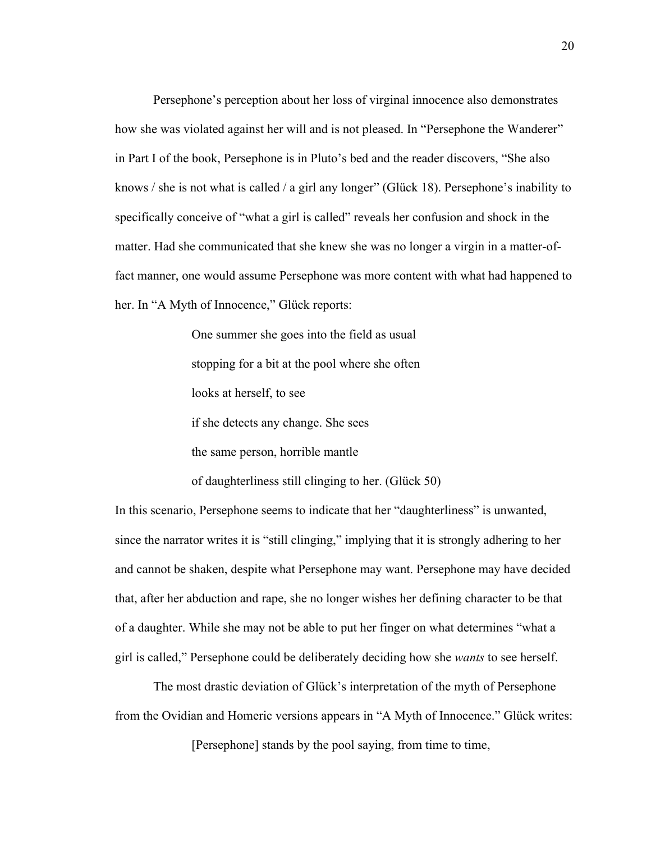Persephone's perception about her loss of virginal innocence also demonstrates how she was violated against her will and is not pleased. In "Persephone the Wanderer" in Part I of the book, Persephone is in Pluto's bed and the reader discovers, "She also knows / she is not what is called / a girl any longer" (Glück 18). Persephone's inability to specifically conceive of "what a girl is called" reveals her confusion and shock in the matter. Had she communicated that she knew she was no longer a virgin in a matter-offact manner, one would assume Persephone was more content with what had happened to her. In "A Myth of Innocence," Glück reports:

> One summer she goes into the field as usual stopping for a bit at the pool where she often looks at herself, to see if she detects any change. She sees the same person, horrible mantle

of daughterliness still clinging to her. (Glück 50)

In this scenario, Persephone seems to indicate that her "daughterliness" is unwanted, since the narrator writes it is "still clinging," implying that it is strongly adhering to her and cannot be shaken, despite what Persephone may want. Persephone may have decided that, after her abduction and rape, she no longer wishes her defining character to be that of a daughter. While she may not be able to put her finger on what determines "what a girl is called," Persephone could be deliberately deciding how she *wants* to see herself.

The most drastic deviation of Glück's interpretation of the myth of Persephone from the Ovidian and Homeric versions appears in "A Myth of Innocence." Glück writes:

[Persephone] stands by the pool saying, from time to time,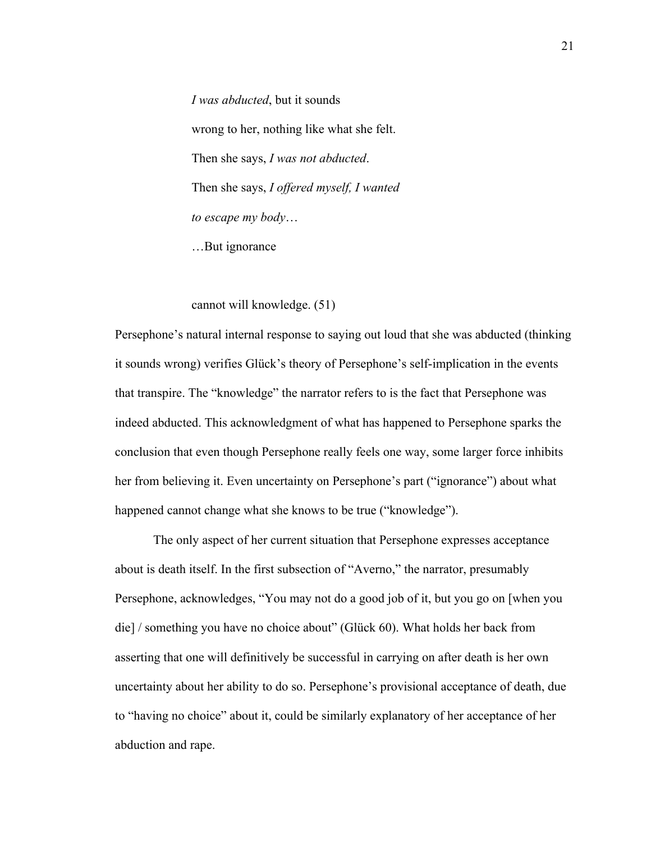*I was abducted*, but it sounds wrong to her, nothing like what she felt. Then she says, *I was not abducted*. Then she says, *I offered myself, I wanted to escape my body*… …But ignorance

cannot will knowledge. (51)

Persephone's natural internal response to saying out loud that she was abducted (thinking it sounds wrong) verifies Glück's theory of Persephone's self-implication in the events that transpire. The "knowledge" the narrator refers to is the fact that Persephone was indeed abducted. This acknowledgment of what has happened to Persephone sparks the conclusion that even though Persephone really feels one way, some larger force inhibits her from believing it. Even uncertainty on Persephone's part ("ignorance") about what happened cannot change what she knows to be true ("knowledge").

The only aspect of her current situation that Persephone expresses acceptance about is death itself. In the first subsection of "Averno," the narrator, presumably Persephone, acknowledges, "You may not do a good job of it, but you go on [when you die] / something you have no choice about" (Glück 60). What holds her back from asserting that one will definitively be successful in carrying on after death is her own uncertainty about her ability to do so. Persephone's provisional acceptance of death, due to "having no choice" about it, could be similarly explanatory of her acceptance of her abduction and rape.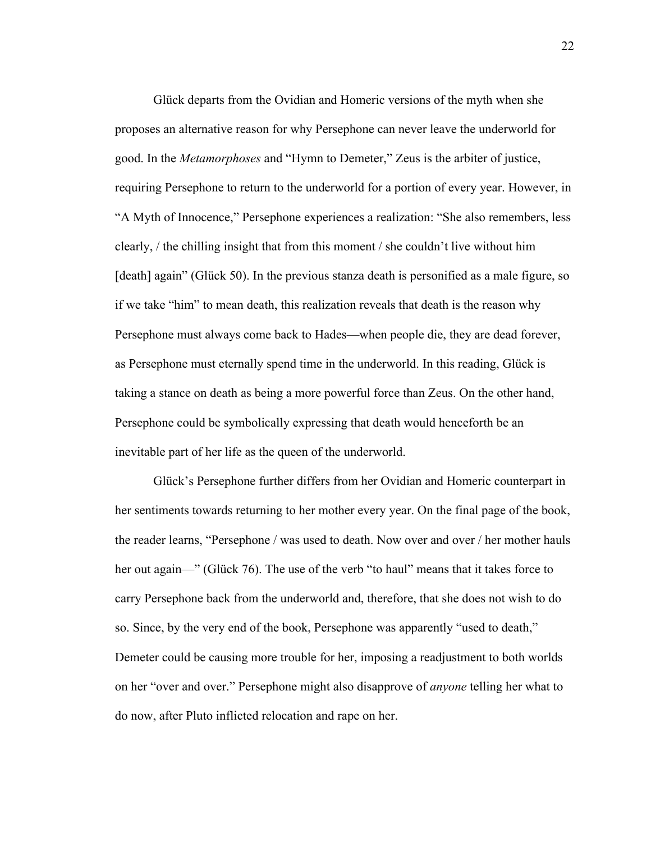Glück departs from the Ovidian and Homeric versions of the myth when she proposes an alternative reason for why Persephone can never leave the underworld for good. In the *Metamorphoses* and "Hymn to Demeter," Zeus is the arbiter of justice, requiring Persephone to return to the underworld for a portion of every year. However, in "A Myth of Innocence," Persephone experiences a realization: "She also remembers, less clearly, / the chilling insight that from this moment / she couldn't live without him [death] again" (Glück 50). In the previous stanza death is personified as a male figure, so if we take "him" to mean death, this realization reveals that death is the reason why Persephone must always come back to Hades—when people die, they are dead forever, as Persephone must eternally spend time in the underworld. In this reading, Glück is taking a stance on death as being a more powerful force than Zeus. On the other hand, Persephone could be symbolically expressing that death would henceforth be an inevitable part of her life as the queen of the underworld.

Glück's Persephone further differs from her Ovidian and Homeric counterpart in her sentiments towards returning to her mother every year. On the final page of the book, the reader learns, "Persephone / was used to death. Now over and over / her mother hauls her out again—" (Glück 76). The use of the verb "to haul" means that it takes force to carry Persephone back from the underworld and, therefore, that she does not wish to do so. Since, by the very end of the book, Persephone was apparently "used to death," Demeter could be causing more trouble for her, imposing a readjustment to both worlds on her "over and over." Persephone might also disapprove of *anyone* telling her what to do now, after Pluto inflicted relocation and rape on her.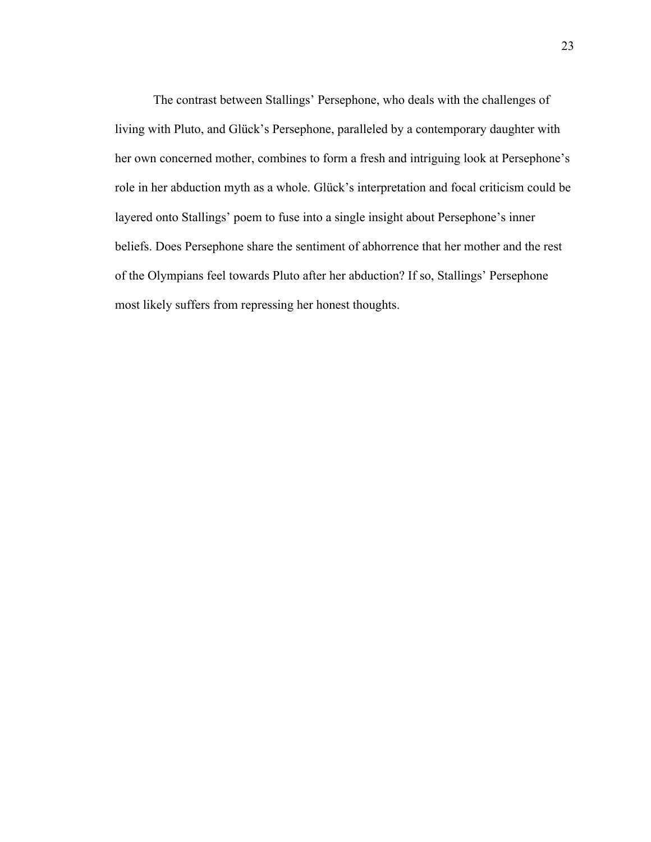The contrast between Stallings' Persephone, who deals with the challenges of living with Pluto, and Glück's Persephone, paralleled by a contemporary daughter with her own concerned mother, combines to form a fresh and intriguing look at Persephone's role in her abduction myth as a whole. Glück's interpretation and focal criticism could be layered onto Stallings' poem to fuse into a single insight about Persephone's inner beliefs. Does Persephone share the sentiment of abhorrence that her mother and the rest of the Olympians feel towards Pluto after her abduction? If so, Stallings' Persephone most likely suffers from repressing her honest thoughts.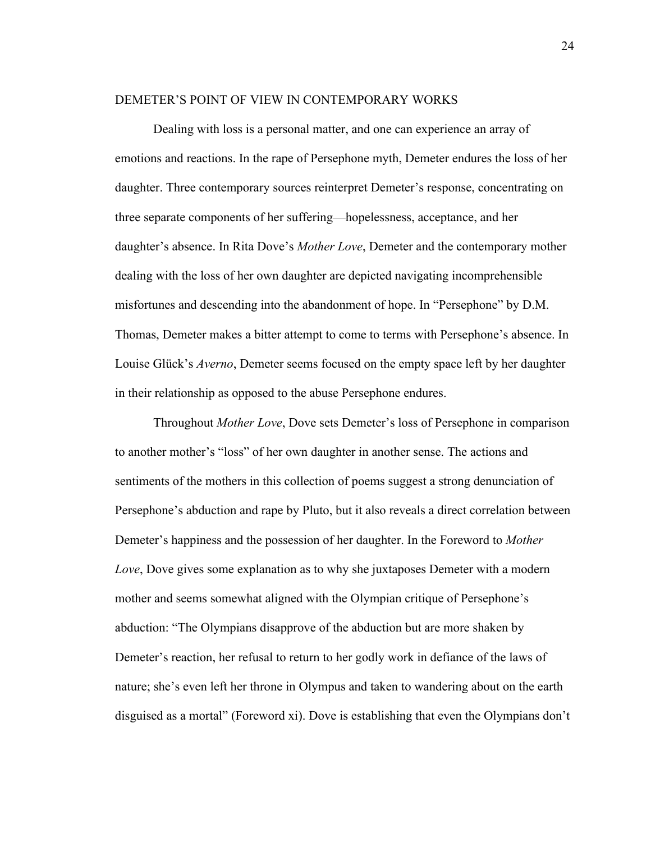#### DEMETER'S POINT OF VIEW IN CONTEMPORARY WORKS

Dealing with loss is a personal matter, and one can experience an array of emotions and reactions. In the rape of Persephone myth, Demeter endures the loss of her daughter. Three contemporary sources reinterpret Demeter's response, concentrating on three separate components of her suffering—hopelessness, acceptance, and her daughter's absence. In Rita Dove's *Mother Love*, Demeter and the contemporary mother dealing with the loss of her own daughter are depicted navigating incomprehensible misfortunes and descending into the abandonment of hope. In "Persephone" by D.M. Thomas, Demeter makes a bitter attempt to come to terms with Persephone's absence. In Louise Glück's *Averno*, Demeter seems focused on the empty space left by her daughter in their relationship as opposed to the abuse Persephone endures.

Throughout *Mother Love*, Dove sets Demeter's loss of Persephone in comparison to another mother's "loss" of her own daughter in another sense. The actions and sentiments of the mothers in this collection of poems suggest a strong denunciation of Persephone's abduction and rape by Pluto, but it also reveals a direct correlation between Demeter's happiness and the possession of her daughter. In the Foreword to *Mother Love*, Dove gives some explanation as to why she juxtaposes Demeter with a modern mother and seems somewhat aligned with the Olympian critique of Persephone's abduction: "The Olympians disapprove of the abduction but are more shaken by Demeter's reaction, her refusal to return to her godly work in defiance of the laws of nature; she's even left her throne in Olympus and taken to wandering about on the earth disguised as a mortal" (Foreword xi). Dove is establishing that even the Olympians don't

24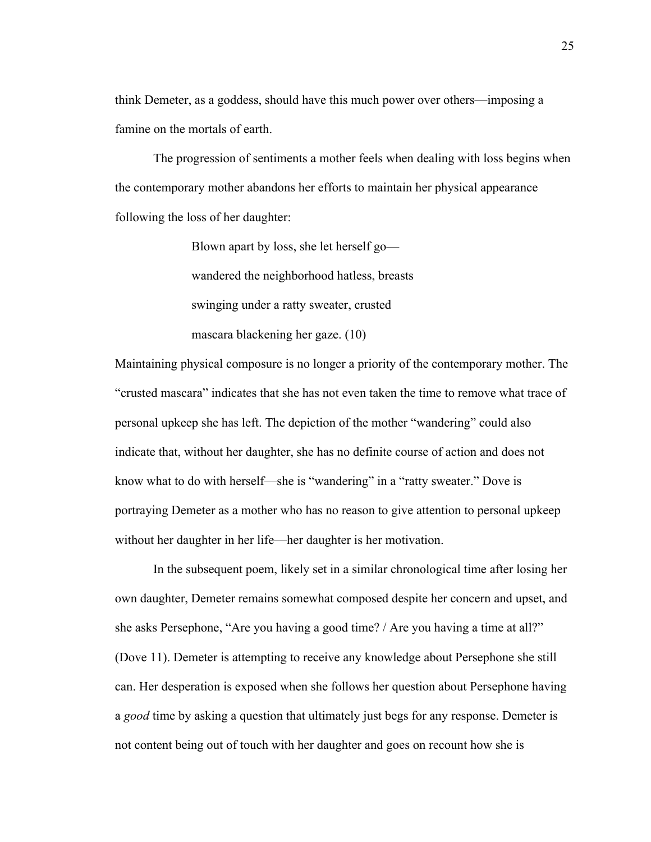think Demeter, as a goddess, should have this much power over others—imposing a famine on the mortals of earth.

The progression of sentiments a mother feels when dealing with loss begins when the contemporary mother abandons her efforts to maintain her physical appearance following the loss of her daughter:

> Blown apart by loss, she let herself go wandered the neighborhood hatless, breasts swinging under a ratty sweater, crusted mascara blackening her gaze. (10)

Maintaining physical composure is no longer a priority of the contemporary mother. The "crusted mascara" indicates that she has not even taken the time to remove what trace of personal upkeep she has left. The depiction of the mother "wandering" could also indicate that, without her daughter, she has no definite course of action and does not know what to do with herself—she is "wandering" in a "ratty sweater." Dove is portraying Demeter as a mother who has no reason to give attention to personal upkeep without her daughter in her life—her daughter is her motivation.

In the subsequent poem, likely set in a similar chronological time after losing her own daughter, Demeter remains somewhat composed despite her concern and upset, and she asks Persephone, "Are you having a good time? / Are you having a time at all?" (Dove 11). Demeter is attempting to receive any knowledge about Persephone she still can. Her desperation is exposed when she follows her question about Persephone having a *good* time by asking a question that ultimately just begs for any response. Demeter is not content being out of touch with her daughter and goes on recount how she is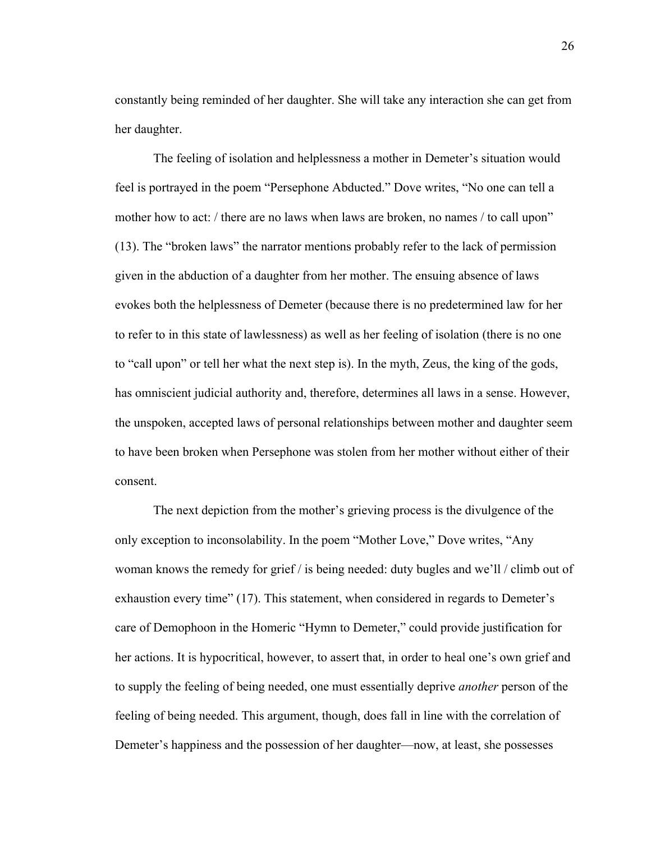constantly being reminded of her daughter. She will take any interaction she can get from her daughter.

The feeling of isolation and helplessness a mother in Demeter's situation would feel is portrayed in the poem "Persephone Abducted." Dove writes, "No one can tell a mother how to act: / there are no laws when laws are broken, no names / to call upon" (13). The "broken laws" the narrator mentions probably refer to the lack of permission given in the abduction of a daughter from her mother. The ensuing absence of laws evokes both the helplessness of Demeter (because there is no predetermined law for her to refer to in this state of lawlessness) as well as her feeling of isolation (there is no one to "call upon" or tell her what the next step is). In the myth, Zeus, the king of the gods, has omniscient judicial authority and, therefore, determines all laws in a sense. However, the unspoken, accepted laws of personal relationships between mother and daughter seem to have been broken when Persephone was stolen from her mother without either of their consent.

The next depiction from the mother's grieving process is the divulgence of the only exception to inconsolability. In the poem "Mother Love," Dove writes, "Any woman knows the remedy for grief / is being needed: duty bugles and we'll / climb out of exhaustion every time" (17). This statement, when considered in regards to Demeter's care of Demophoon in the Homeric "Hymn to Demeter," could provide justification for her actions. It is hypocritical, however, to assert that, in order to heal one's own grief and to supply the feeling of being needed, one must essentially deprive *another* person of the feeling of being needed. This argument, though, does fall in line with the correlation of Demeter's happiness and the possession of her daughter—now, at least, she possesses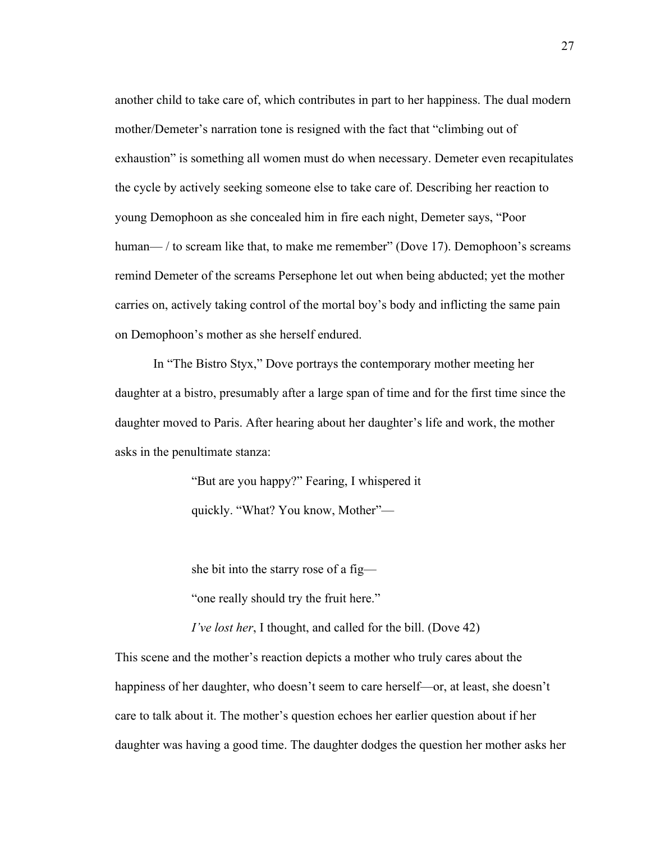another child to take care of, which contributes in part to her happiness. The dual modern mother/Demeter's narration tone is resigned with the fact that "climbing out of exhaustion" is something all women must do when necessary. Demeter even recapitulates the cycle by actively seeking someone else to take care of. Describing her reaction to young Demophoon as she concealed him in fire each night, Demeter says, "Poor human— / to scream like that, to make me remember" (Dove 17). Demophoon's screams remind Demeter of the screams Persephone let out when being abducted; yet the mother carries on, actively taking control of the mortal boy's body and inflicting the same pain on Demophoon's mother as she herself endured.

In "The Bistro Styx," Dove portrays the contemporary mother meeting her daughter at a bistro, presumably after a large span of time and for the first time since the daughter moved to Paris. After hearing about her daughter's life and work, the mother asks in the penultimate stanza:

> "But are you happy?" Fearing, I whispered it quickly. "What? You know, Mother"—

she bit into the starry rose of a fig—

"one really should try the fruit here."

*I've lost her*, I thought, and called for the bill. (Dove 42)

This scene and the mother's reaction depicts a mother who truly cares about the happiness of her daughter, who doesn't seem to care herself—or, at least, she doesn't care to talk about it. The mother's question echoes her earlier question about if her daughter was having a good time. The daughter dodges the question her mother asks her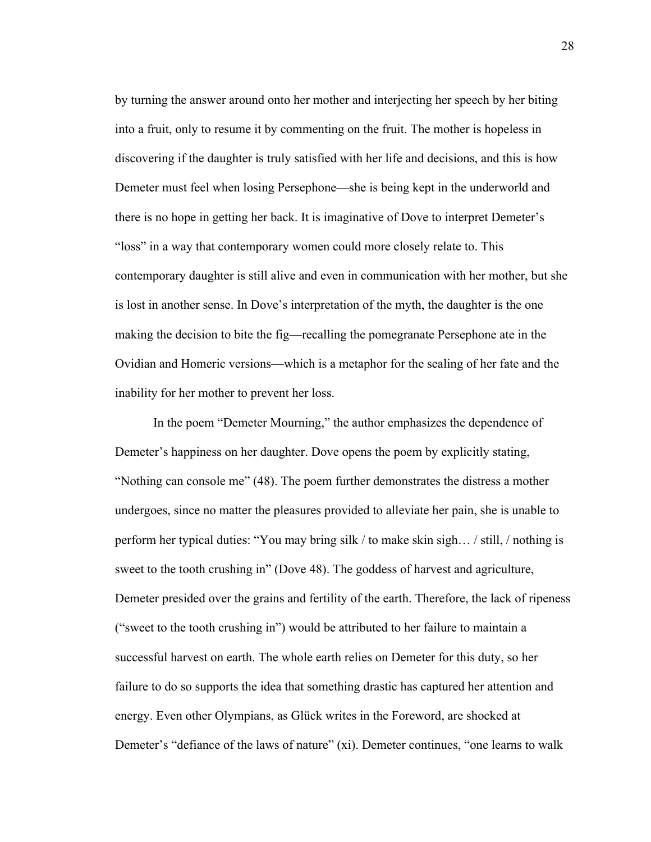by turning the answer around onto her mother and interjecting her speech by her biting into a fruit, only to resume it by commenting on the fruit. The mother is hopeless in discovering if the daughter is truly satisfied with her life and decisions, and this is how Demeter must feel when losing Persephone—she is being kept in the underworld and there is no hope in getting her back. It is imaginative of Dove to interpret Demeter's "loss" in a way that contemporary women could more closely relate to. This contemporary daughter is still alive and even in communication with her mother, but she is lost in another sense. In Dove's interpretation of the myth, the daughter is the one making the decision to bite the fig—recalling the pomegranate Persephone ate in the Ovidian and Homeric versions—which is a metaphor for the sealing of her fate and the inability for her mother to prevent her loss.

In the poem "Demeter Mourning," the author emphasizes the dependence of Demeter's happiness on her daughter. Dove opens the poem by explicitly stating, "Nothing can console me" (48). The poem further demonstrates the distress a mother undergoes, since no matter the pleasures provided to alleviate her pain, she is unable to perform her typical duties: "You may bring silk / to make skin sigh… / still, / nothing is sweet to the tooth crushing in" (Dove 48). The goddess of harvest and agriculture, Demeter presided over the grains and fertility of the earth. Therefore, the lack of ripeness ("sweet to the tooth crushing in") would be attributed to her failure to maintain a successful harvest on earth. The whole earth relies on Demeter for this duty, so her failure to do so supports the idea that something drastic has captured her attention and energy. Even other Olympians, as Glück writes in the Foreword, are shocked at Demeter's "defiance of the laws of nature" (xi). Demeter continues, "one learns to walk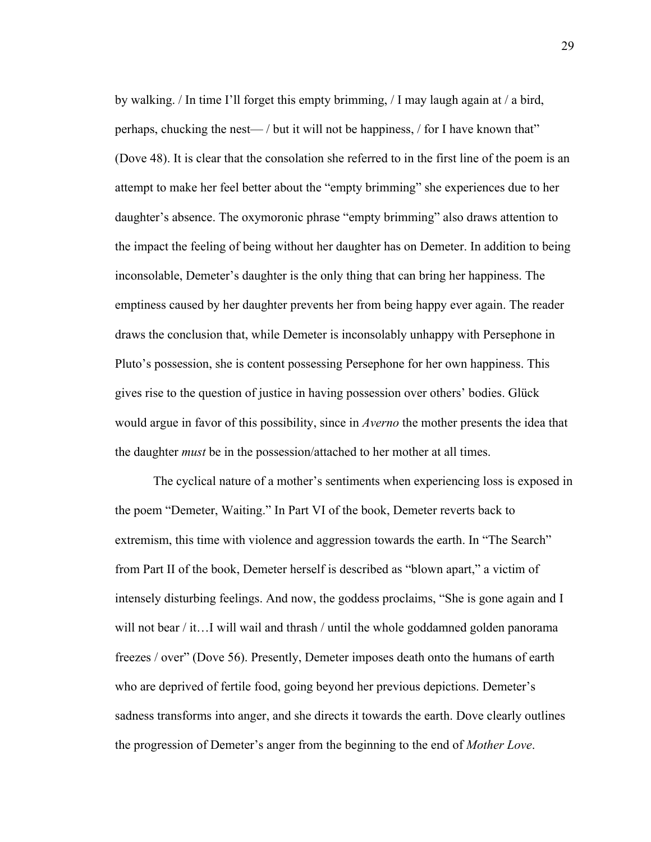by walking. / In time I'll forget this empty brimming, / I may laugh again at / a bird, perhaps, chucking the nest— / but it will not be happiness, / for I have known that" (Dove 48). It is clear that the consolation she referred to in the first line of the poem is an attempt to make her feel better about the "empty brimming" she experiences due to her daughter's absence. The oxymoronic phrase "empty brimming" also draws attention to the impact the feeling of being without her daughter has on Demeter. In addition to being inconsolable, Demeter's daughter is the only thing that can bring her happiness. The emptiness caused by her daughter prevents her from being happy ever again. The reader draws the conclusion that, while Demeter is inconsolably unhappy with Persephone in Pluto's possession, she is content possessing Persephone for her own happiness. This gives rise to the question of justice in having possession over others' bodies. Glück would argue in favor of this possibility, since in *Averno* the mother presents the idea that the daughter *must* be in the possession/attached to her mother at all times.

The cyclical nature of a mother's sentiments when experiencing loss is exposed in the poem "Demeter, Waiting." In Part VI of the book, Demeter reverts back to extremism, this time with violence and aggression towards the earth. In "The Search" from Part II of the book, Demeter herself is described as "blown apart," a victim of intensely disturbing feelings. And now, the goddess proclaims, "She is gone again and I will not bear / it…I will wail and thrash / until the whole goddamned golden panorama freezes / over" (Dove 56). Presently, Demeter imposes death onto the humans of earth who are deprived of fertile food, going beyond her previous depictions. Demeter's sadness transforms into anger, and she directs it towards the earth. Dove clearly outlines the progression of Demeter's anger from the beginning to the end of *Mother Love*.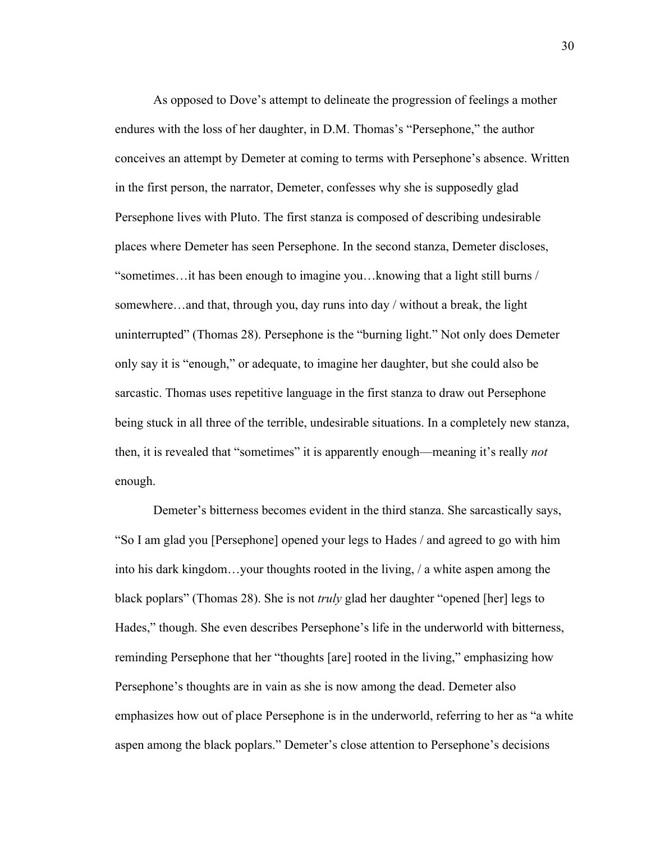As opposed to Dove's attempt to delineate the progression of feelings a mother endures with the loss of her daughter, in D.M. Thomas's "Persephone," the author conceives an attempt by Demeter at coming to terms with Persephone's absence. Written in the first person, the narrator, Demeter, confesses why she is supposedly glad Persephone lives with Pluto. The first stanza is composed of describing undesirable places where Demeter has seen Persephone. In the second stanza, Demeter discloses, "sometimes…it has been enough to imagine you…knowing that a light still burns / somewhere…and that, through you, day runs into day / without a break, the light uninterrupted" (Thomas 28). Persephone is the "burning light." Not only does Demeter only say it is "enough," or adequate, to imagine her daughter, but she could also be sarcastic. Thomas uses repetitive language in the first stanza to draw out Persephone being stuck in all three of the terrible, undesirable situations. In a completely new stanza, then, it is revealed that "sometimes" it is apparently enough—meaning it's really *not* enough.

Demeter's bitterness becomes evident in the third stanza. She sarcastically says, "So I am glad you [Persephone] opened your legs to Hades / and agreed to go with him into his dark kingdom…your thoughts rooted in the living, / a white aspen among the black poplars" (Thomas 28). She is not *truly* glad her daughter "opened [her] legs to Hades," though. She even describes Persephone's life in the underworld with bitterness, reminding Persephone that her "thoughts [are] rooted in the living," emphasizing how Persephone's thoughts are in vain as she is now among the dead. Demeter also emphasizes how out of place Persephone is in the underworld, referring to her as "a white aspen among the black poplars." Demeter's close attention to Persephone's decisions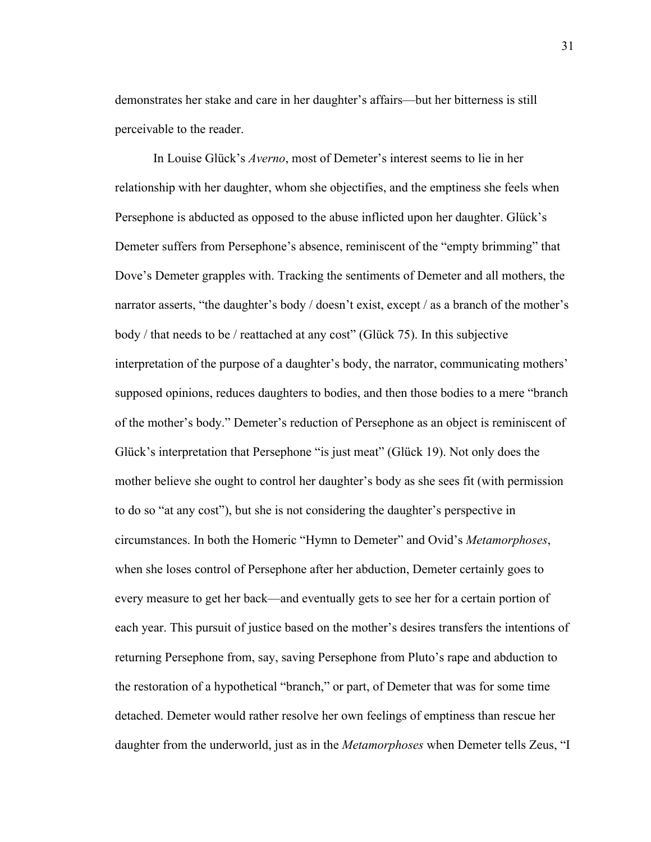demonstrates her stake and care in her daughter's affairs—but her bitterness is still perceivable to the reader.

In Louise Glück's *Averno*, most of Demeter's interest seems to lie in her relationship with her daughter, whom she objectifies, and the emptiness she feels when Persephone is abducted as opposed to the abuse inflicted upon her daughter. Glück's Demeter suffers from Persephone's absence, reminiscent of the "empty brimming" that Dove's Demeter grapples with. Tracking the sentiments of Demeter and all mothers, the narrator asserts, "the daughter's body / doesn't exist, except / as a branch of the mother's body / that needs to be / reattached at any cost" (Glück 75). In this subjective interpretation of the purpose of a daughter's body, the narrator, communicating mothers' supposed opinions, reduces daughters to bodies, and then those bodies to a mere "branch of the mother's body." Demeter's reduction of Persephone as an object is reminiscent of Glück's interpretation that Persephone "is just meat" (Glück 19). Not only does the mother believe she ought to control her daughter's body as she sees fit (with permission to do so "at any cost"), but she is not considering the daughter's perspective in circumstances. In both the Homeric "Hymn to Demeter" and Ovid's *Metamorphoses*, when she loses control of Persephone after her abduction, Demeter certainly goes to every measure to get her back—and eventually gets to see her for a certain portion of each year. This pursuit of justice based on the mother's desires transfers the intentions of returning Persephone from, say, saving Persephone from Pluto's rape and abduction to the restoration of a hypothetical "branch," or part, of Demeter that was for some time detached. Demeter would rather resolve her own feelings of emptiness than rescue her daughter from the underworld, just as in the *Metamorphoses* when Demeter tells Zeus, "I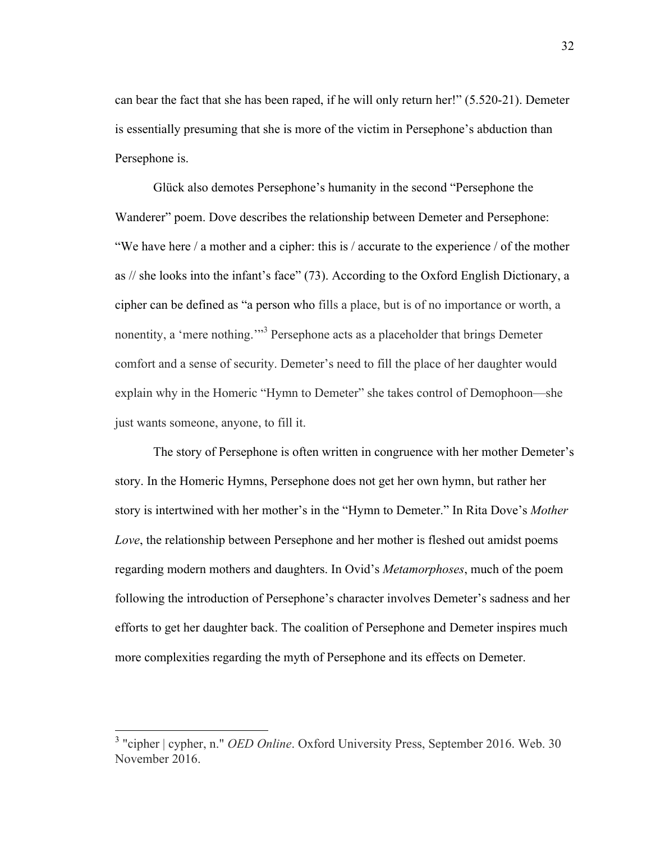can bear the fact that she has been raped, if he will only return her!" (5.520-21). Demeter is essentially presuming that she is more of the victim in Persephone's abduction than Persephone is.

Glück also demotes Persephone's humanity in the second "Persephone the Wanderer" poem. Dove describes the relationship between Demeter and Persephone: "We have here / a mother and a cipher: this is / accurate to the experience / of the mother as // she looks into the infant's face" (73). According to the Oxford English Dictionary, a cipher can be defined as "a person who fills a place, but is of no importance or worth, a nonentity, a 'mere nothing.'"<sup>3</sup> Persephone acts as a placeholder that brings Demeter comfort and a sense of security. Demeter's need to fill the place of her daughter would explain why in the Homeric "Hymn to Demeter" she takes control of Demophoon—she just wants someone, anyone, to fill it.

The story of Persephone is often written in congruence with her mother Demeter's story. In the Homeric Hymns, Persephone does not get her own hymn, but rather her story is intertwined with her mother's in the "Hymn to Demeter." In Rita Dove's *Mother Love*, the relationship between Persephone and her mother is fleshed out amidst poems regarding modern mothers and daughters. In Ovid's *Metamorphoses*, much of the poem following the introduction of Persephone's character involves Demeter's sadness and her efforts to get her daughter back. The coalition of Persephone and Demeter inspires much more complexities regarding the myth of Persephone and its effects on Demeter.

 <sup>3</sup> "cipher | cypher, n." *OED Online*. Oxford University Press, September 2016. Web. 30 November 2016.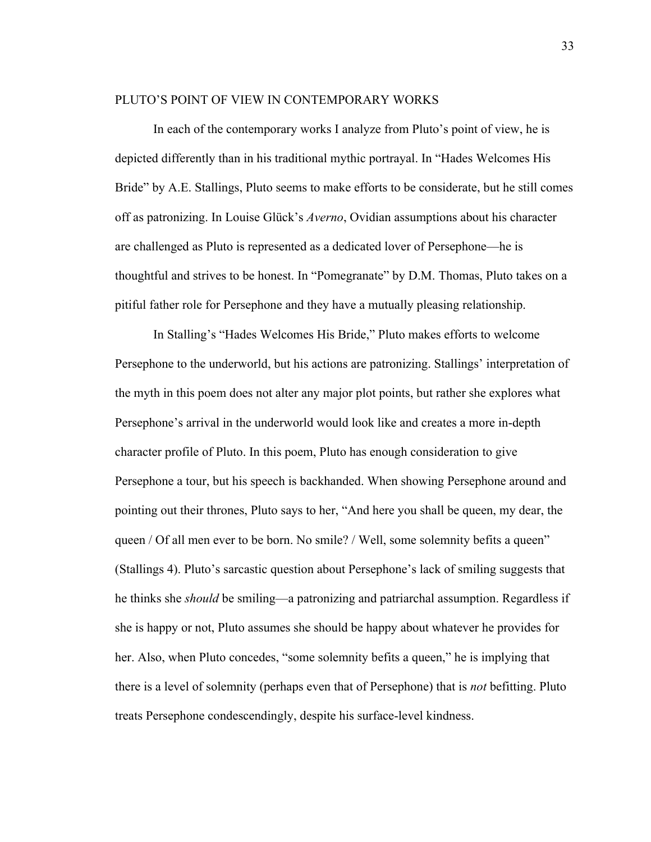#### PLUTO'S POINT OF VIEW IN CONTEMPORARY WORKS

In each of the contemporary works I analyze from Pluto's point of view, he is depicted differently than in his traditional mythic portrayal. In "Hades Welcomes His Bride" by A.E. Stallings, Pluto seems to make efforts to be considerate, but he still comes off as patronizing. In Louise Glück's *Averno*, Ovidian assumptions about his character are challenged as Pluto is represented as a dedicated lover of Persephone—he is thoughtful and strives to be honest. In "Pomegranate" by D.M. Thomas, Pluto takes on a pitiful father role for Persephone and they have a mutually pleasing relationship.

In Stalling's "Hades Welcomes His Bride," Pluto makes efforts to welcome Persephone to the underworld, but his actions are patronizing. Stallings' interpretation of the myth in this poem does not alter any major plot points, but rather she explores what Persephone's arrival in the underworld would look like and creates a more in-depth character profile of Pluto. In this poem, Pluto has enough consideration to give Persephone a tour, but his speech is backhanded. When showing Persephone around and pointing out their thrones, Pluto says to her, "And here you shall be queen, my dear, the queen / Of all men ever to be born. No smile? / Well, some solemnity befits a queen" (Stallings 4). Pluto's sarcastic question about Persephone's lack of smiling suggests that he thinks she *should* be smiling—a patronizing and patriarchal assumption. Regardless if she is happy or not, Pluto assumes she should be happy about whatever he provides for her. Also, when Pluto concedes, "some solemnity befits a queen," he is implying that there is a level of solemnity (perhaps even that of Persephone) that is *not* befitting. Pluto treats Persephone condescendingly, despite his surface-level kindness.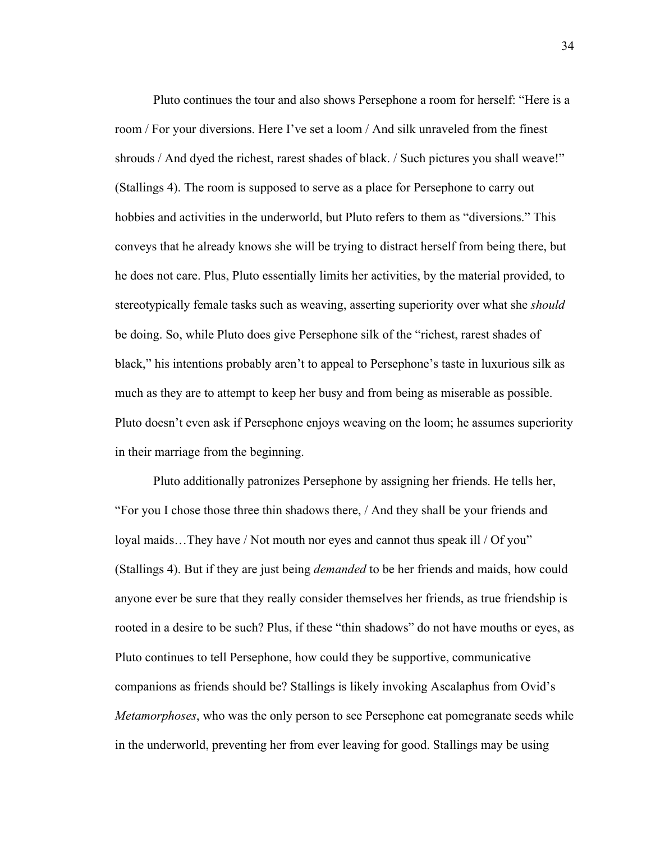Pluto continues the tour and also shows Persephone a room for herself: "Here is a room / For your diversions. Here I've set a loom / And silk unraveled from the finest shrouds / And dyed the richest, rarest shades of black. / Such pictures you shall weave!" (Stallings 4). The room is supposed to serve as a place for Persephone to carry out hobbies and activities in the underworld, but Pluto refers to them as "diversions." This conveys that he already knows she will be trying to distract herself from being there, but he does not care. Plus, Pluto essentially limits her activities, by the material provided, to stereotypically female tasks such as weaving, asserting superiority over what she *should* be doing. So, while Pluto does give Persephone silk of the "richest, rarest shades of black," his intentions probably aren't to appeal to Persephone's taste in luxurious silk as much as they are to attempt to keep her busy and from being as miserable as possible. Pluto doesn't even ask if Persephone enjoys weaving on the loom; he assumes superiority in their marriage from the beginning.

Pluto additionally patronizes Persephone by assigning her friends. He tells her, "For you I chose those three thin shadows there, / And they shall be your friends and loyal maids…They have / Not mouth nor eyes and cannot thus speak ill / Of you" (Stallings 4). But if they are just being *demanded* to be her friends and maids, how could anyone ever be sure that they really consider themselves her friends, as true friendship is rooted in a desire to be such? Plus, if these "thin shadows" do not have mouths or eyes, as Pluto continues to tell Persephone, how could they be supportive, communicative companions as friends should be? Stallings is likely invoking Ascalaphus from Ovid's *Metamorphoses*, who was the only person to see Persephone eat pomegranate seeds while in the underworld, preventing her from ever leaving for good. Stallings may be using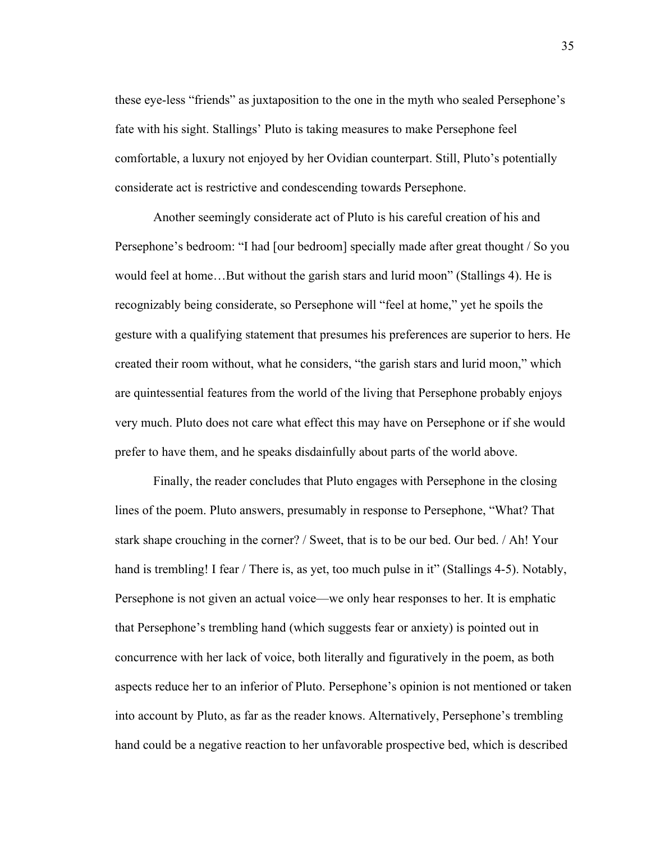these eye-less "friends" as juxtaposition to the one in the myth who sealed Persephone's fate with his sight. Stallings' Pluto is taking measures to make Persephone feel comfortable, a luxury not enjoyed by her Ovidian counterpart. Still, Pluto's potentially considerate act is restrictive and condescending towards Persephone.

Another seemingly considerate act of Pluto is his careful creation of his and Persephone's bedroom: "I had [our bedroom] specially made after great thought / So you would feel at home…But without the garish stars and lurid moon" (Stallings 4). He is recognizably being considerate, so Persephone will "feel at home," yet he spoils the gesture with a qualifying statement that presumes his preferences are superior to hers. He created their room without, what he considers, "the garish stars and lurid moon," which are quintessential features from the world of the living that Persephone probably enjoys very much. Pluto does not care what effect this may have on Persephone or if she would prefer to have them, and he speaks disdainfully about parts of the world above.

Finally, the reader concludes that Pluto engages with Persephone in the closing lines of the poem. Pluto answers, presumably in response to Persephone, "What? That stark shape crouching in the corner? / Sweet, that is to be our bed. Our bed. / Ah! Your hand is trembling! I fear / There is, as yet, too much pulse in it" (Stallings 4-5). Notably, Persephone is not given an actual voice—we only hear responses to her. It is emphatic that Persephone's trembling hand (which suggests fear or anxiety) is pointed out in concurrence with her lack of voice, both literally and figuratively in the poem, as both aspects reduce her to an inferior of Pluto. Persephone's opinion is not mentioned or taken into account by Pluto, as far as the reader knows. Alternatively, Persephone's trembling hand could be a negative reaction to her unfavorable prospective bed, which is described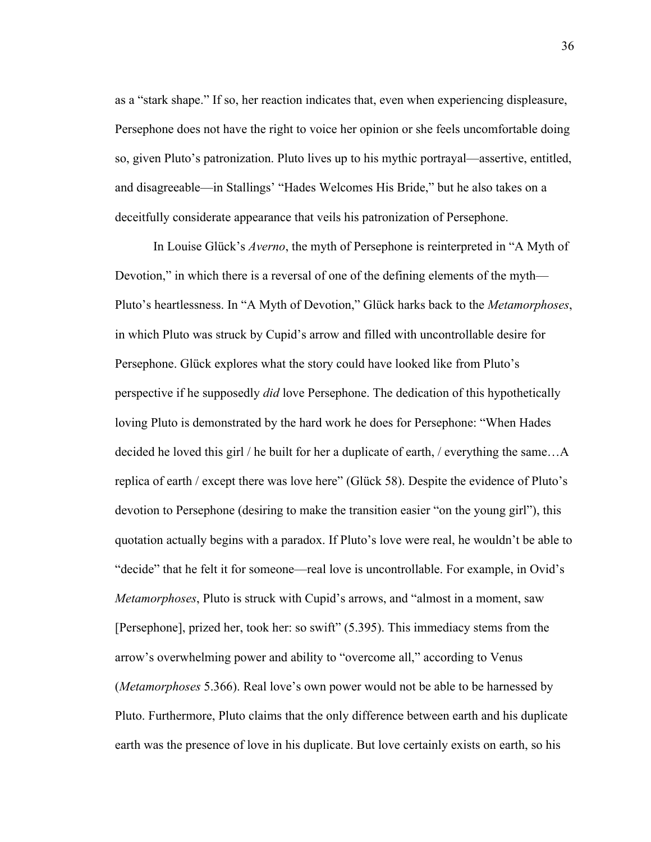as a "stark shape." If so, her reaction indicates that, even when experiencing displeasure, Persephone does not have the right to voice her opinion or she feels uncomfortable doing so, given Pluto's patronization. Pluto lives up to his mythic portrayal—assertive, entitled, and disagreeable—in Stallings' "Hades Welcomes His Bride," but he also takes on a deceitfully considerate appearance that veils his patronization of Persephone.

In Louise Glück's *Averno*, the myth of Persephone is reinterpreted in "A Myth of Devotion," in which there is a reversal of one of the defining elements of the myth— Pluto's heartlessness. In "A Myth of Devotion," Glück harks back to the *Metamorphoses*, in which Pluto was struck by Cupid's arrow and filled with uncontrollable desire for Persephone. Glück explores what the story could have looked like from Pluto's perspective if he supposedly *did* love Persephone. The dedication of this hypothetically loving Pluto is demonstrated by the hard work he does for Persephone: "When Hades decided he loved this girl / he built for her a duplicate of earth, / everything the same…A replica of earth / except there was love here" (Glück 58). Despite the evidence of Pluto's devotion to Persephone (desiring to make the transition easier "on the young girl"), this quotation actually begins with a paradox. If Pluto's love were real, he wouldn't be able to "decide" that he felt it for someone—real love is uncontrollable. For example, in Ovid's *Metamorphoses*, Pluto is struck with Cupid's arrows, and "almost in a moment, saw [Persephone], prized her, took her: so swift" (5.395). This immediacy stems from the arrow's overwhelming power and ability to "overcome all," according to Venus (*Metamorphoses* 5.366). Real love's own power would not be able to be harnessed by Pluto. Furthermore, Pluto claims that the only difference between earth and his duplicate earth was the presence of love in his duplicate. But love certainly exists on earth, so his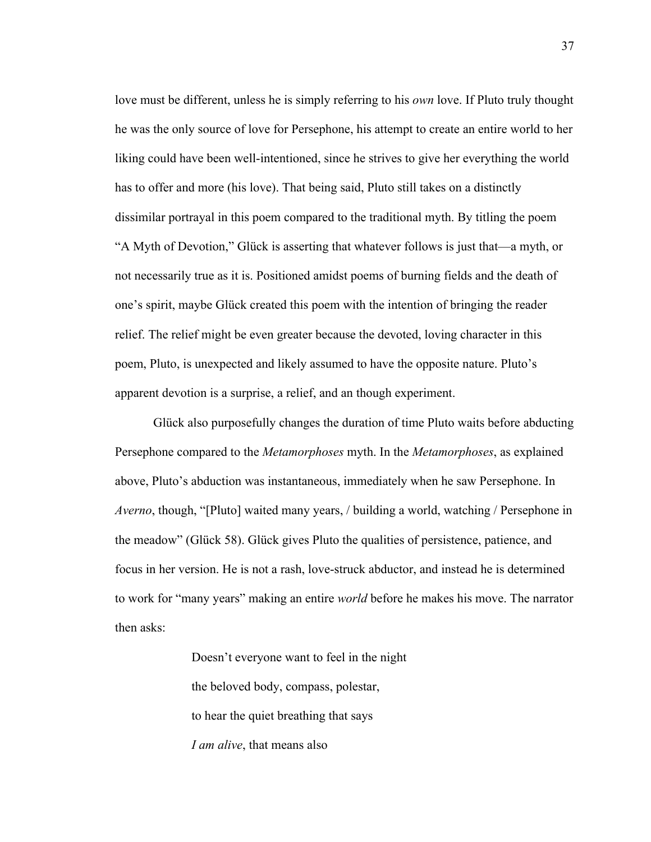love must be different, unless he is simply referring to his *own* love. If Pluto truly thought he was the only source of love for Persephone, his attempt to create an entire world to her liking could have been well-intentioned, since he strives to give her everything the world has to offer and more (his love). That being said, Pluto still takes on a distinctly dissimilar portrayal in this poem compared to the traditional myth. By titling the poem "A Myth of Devotion," Glück is asserting that whatever follows is just that—a myth, or not necessarily true as it is. Positioned amidst poems of burning fields and the death of one's spirit, maybe Glück created this poem with the intention of bringing the reader relief. The relief might be even greater because the devoted, loving character in this poem, Pluto, is unexpected and likely assumed to have the opposite nature. Pluto's apparent devotion is a surprise, a relief, and an though experiment.

Glück also purposefully changes the duration of time Pluto waits before abducting Persephone compared to the *Metamorphoses* myth. In the *Metamorphoses*, as explained above, Pluto's abduction was instantaneous, immediately when he saw Persephone. In *Averno*, though, "[Pluto] waited many years, / building a world, watching / Persephone in the meadow" (Glück 58). Glück gives Pluto the qualities of persistence, patience, and focus in her version. He is not a rash, love-struck abductor, and instead he is determined to work for "many years" making an entire *world* before he makes his move. The narrator then asks:

> Doesn't everyone want to feel in the night the beloved body, compass, polestar, to hear the quiet breathing that says *I am alive*, that means also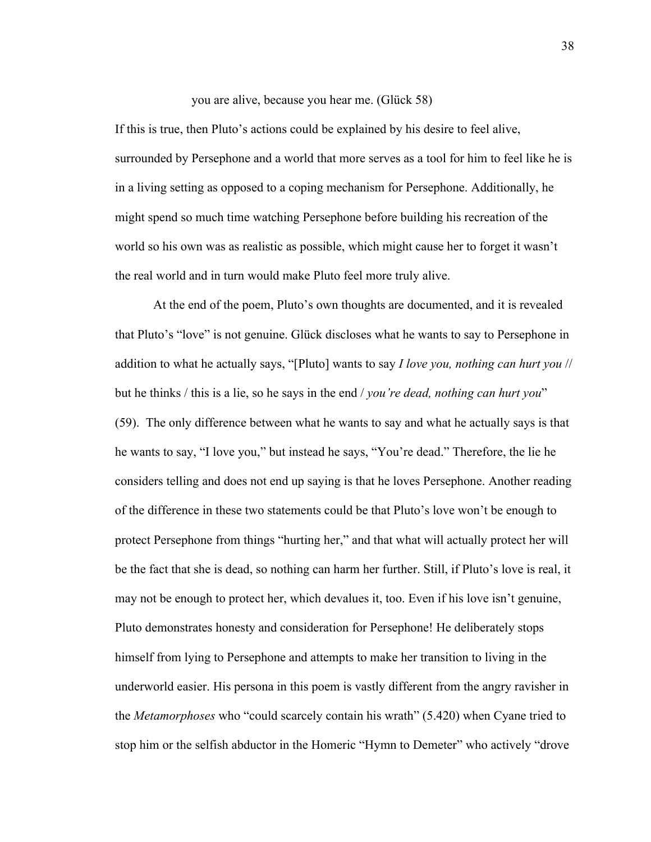you are alive, because you hear me. (Glück 58)

If this is true, then Pluto's actions could be explained by his desire to feel alive, surrounded by Persephone and a world that more serves as a tool for him to feel like he is in a living setting as opposed to a coping mechanism for Persephone. Additionally, he might spend so much time watching Persephone before building his recreation of the world so his own was as realistic as possible, which might cause her to forget it wasn't the real world and in turn would make Pluto feel more truly alive.

At the end of the poem, Pluto's own thoughts are documented, and it is revealed that Pluto's "love" is not genuine. Glück discloses what he wants to say to Persephone in addition to what he actually says, "[Pluto] wants to say *I love you, nothing can hurt you* // but he thinks / this is a lie, so he says in the end / *you're dead, nothing can hurt you*" (59). The only difference between what he wants to say and what he actually says is that he wants to say, "I love you," but instead he says, "You're dead." Therefore, the lie he considers telling and does not end up saying is that he loves Persephone. Another reading of the difference in these two statements could be that Pluto's love won't be enough to protect Persephone from things "hurting her," and that what will actually protect her will be the fact that she is dead, so nothing can harm her further. Still, if Pluto's love is real, it may not be enough to protect her, which devalues it, too. Even if his love isn't genuine, Pluto demonstrates honesty and consideration for Persephone! He deliberately stops himself from lying to Persephone and attempts to make her transition to living in the underworld easier. His persona in this poem is vastly different from the angry ravisher in the *Metamorphoses* who "could scarcely contain his wrath" (5.420) when Cyane tried to stop him or the selfish abductor in the Homeric "Hymn to Demeter" who actively "drove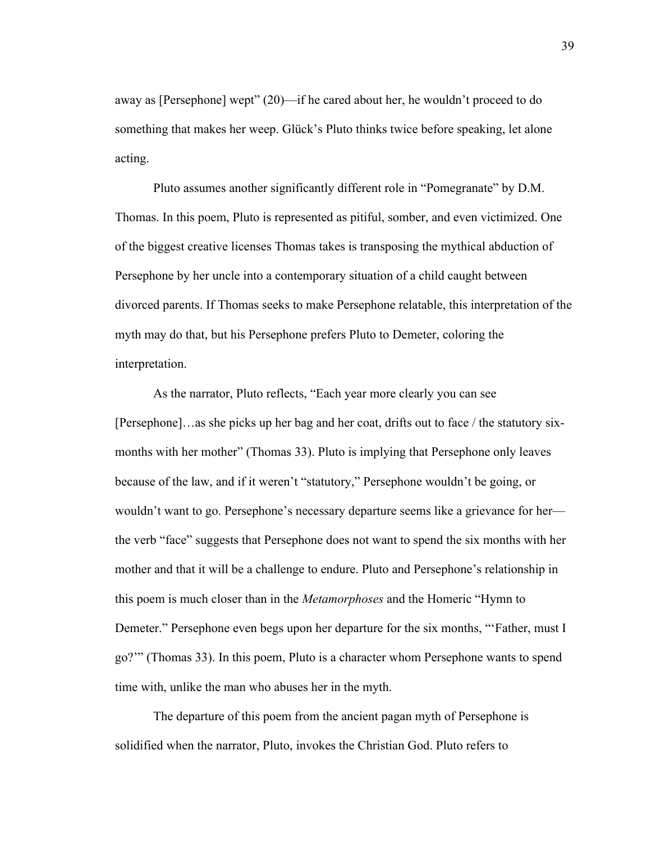away as [Persephone] wept" (20)—if he cared about her, he wouldn't proceed to do something that makes her weep. Glück's Pluto thinks twice before speaking, let alone acting.

Pluto assumes another significantly different role in "Pomegranate" by D.M. Thomas. In this poem, Pluto is represented as pitiful, somber, and even victimized. One of the biggest creative licenses Thomas takes is transposing the mythical abduction of Persephone by her uncle into a contemporary situation of a child caught between divorced parents. If Thomas seeks to make Persephone relatable, this interpretation of the myth may do that, but his Persephone prefers Pluto to Demeter, coloring the interpretation.

As the narrator, Pluto reflects, "Each year more clearly you can see [Persephone]…as she picks up her bag and her coat, drifts out to face / the statutory sixmonths with her mother" (Thomas 33). Pluto is implying that Persephone only leaves because of the law, and if it weren't "statutory," Persephone wouldn't be going, or wouldn't want to go. Persephone's necessary departure seems like a grievance for her the verb "face" suggests that Persephone does not want to spend the six months with her mother and that it will be a challenge to endure. Pluto and Persephone's relationship in this poem is much closer than in the *Metamorphoses* and the Homeric "Hymn to Demeter." Persephone even begs upon her departure for the six months, "'Father, must I go?'" (Thomas 33). In this poem, Pluto is a character whom Persephone wants to spend time with, unlike the man who abuses her in the myth.

The departure of this poem from the ancient pagan myth of Persephone is solidified when the narrator, Pluto, invokes the Christian God. Pluto refers to

39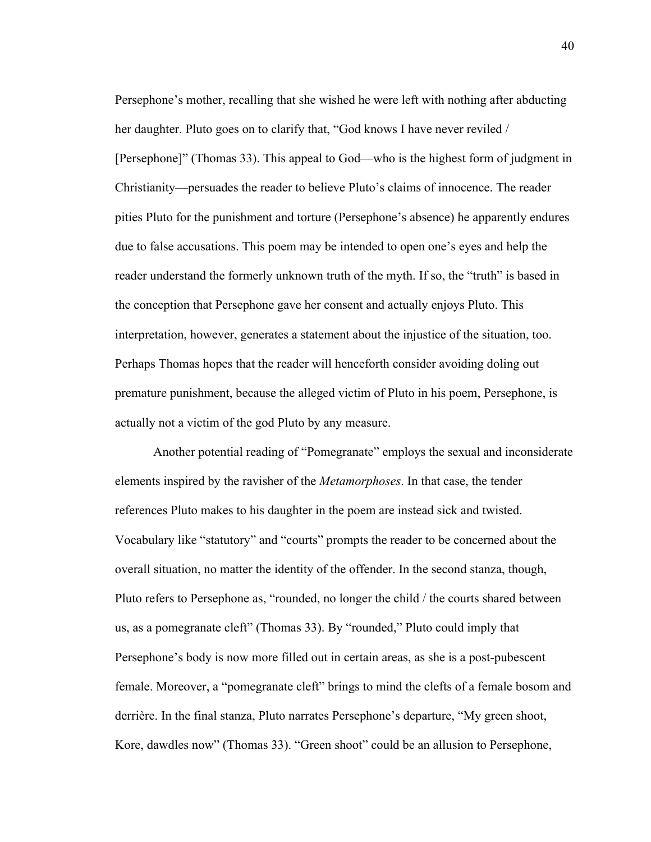Persephone's mother, recalling that she wished he were left with nothing after abducting her daughter. Pluto goes on to clarify that, "God knows I have never reviled / [Persephone]" (Thomas 33). This appeal to God—who is the highest form of judgment in Christianity—persuades the reader to believe Pluto's claims of innocence. The reader pities Pluto for the punishment and torture (Persephone's absence) he apparently endures due to false accusations. This poem may be intended to open one's eyes and help the reader understand the formerly unknown truth of the myth. If so, the "truth" is based in the conception that Persephone gave her consent and actually enjoys Pluto. This interpretation, however, generates a statement about the injustice of the situation, too. Perhaps Thomas hopes that the reader will henceforth consider avoiding doling out premature punishment, because the alleged victim of Pluto in his poem, Persephone, is actually not a victim of the god Pluto by any measure.

Another potential reading of "Pomegranate" employs the sexual and inconsiderate elements inspired by the ravisher of the *Metamorphoses*. In that case, the tender references Pluto makes to his daughter in the poem are instead sick and twisted. Vocabulary like "statutory" and "courts" prompts the reader to be concerned about the overall situation, no matter the identity of the offender. In the second stanza, though, Pluto refers to Persephone as, "rounded, no longer the child / the courts shared between us, as a pomegranate cleft" (Thomas 33). By "rounded," Pluto could imply that Persephone's body is now more filled out in certain areas, as she is a post-pubescent female. Moreover, a "pomegranate cleft" brings to mind the clefts of a female bosom and derrière. In the final stanza, Pluto narrates Persephone's departure, "My green shoot, Kore, dawdles now" (Thomas 33). "Green shoot" could be an allusion to Persephone,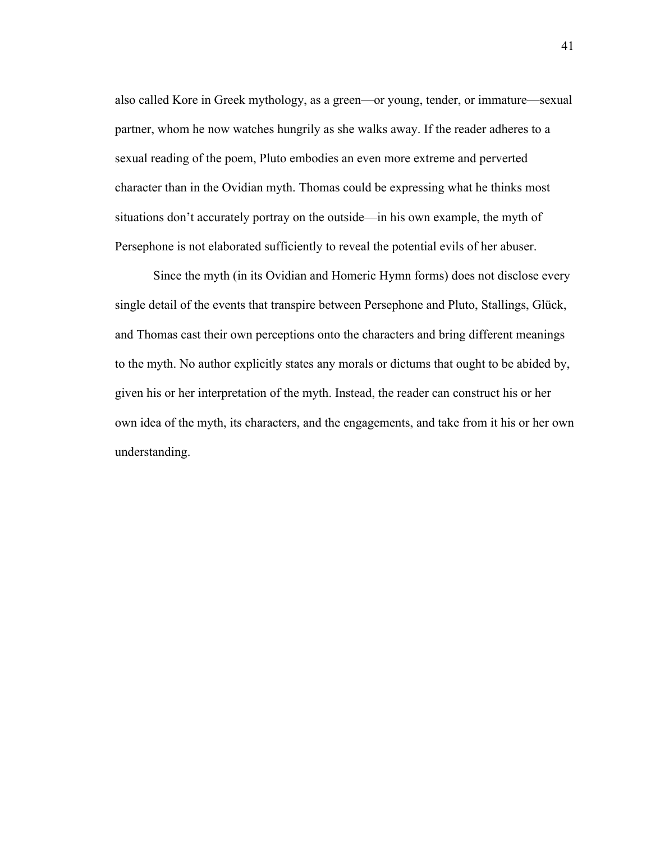also called Kore in Greek mythology, as a green—or young, tender, or immature—sexual partner, whom he now watches hungrily as she walks away. If the reader adheres to a sexual reading of the poem, Pluto embodies an even more extreme and perverted character than in the Ovidian myth. Thomas could be expressing what he thinks most situations don't accurately portray on the outside—in his own example, the myth of Persephone is not elaborated sufficiently to reveal the potential evils of her abuser.

Since the myth (in its Ovidian and Homeric Hymn forms) does not disclose every single detail of the events that transpire between Persephone and Pluto, Stallings, Glück, and Thomas cast their own perceptions onto the characters and bring different meanings to the myth. No author explicitly states any morals or dictums that ought to be abided by, given his or her interpretation of the myth. Instead, the reader can construct his or her own idea of the myth, its characters, and the engagements, and take from it his or her own understanding.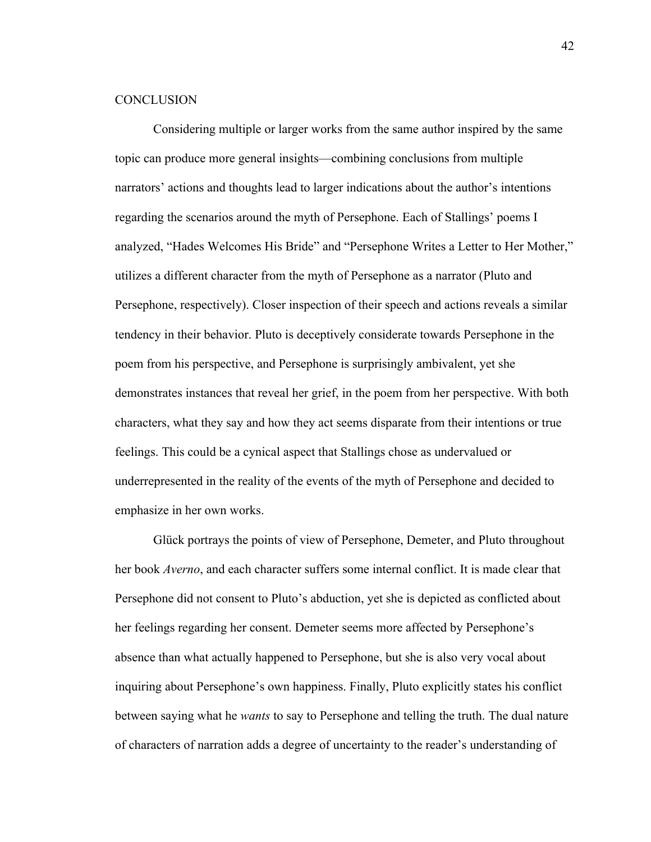#### **CONCLUSION**

Considering multiple or larger works from the same author inspired by the same topic can produce more general insights—combining conclusions from multiple narrators' actions and thoughts lead to larger indications about the author's intentions regarding the scenarios around the myth of Persephone. Each of Stallings' poems I analyzed, "Hades Welcomes His Bride" and "Persephone Writes a Letter to Her Mother," utilizes a different character from the myth of Persephone as a narrator (Pluto and Persephone, respectively). Closer inspection of their speech and actions reveals a similar tendency in their behavior. Pluto is deceptively considerate towards Persephone in the poem from his perspective, and Persephone is surprisingly ambivalent, yet she demonstrates instances that reveal her grief, in the poem from her perspective. With both characters, what they say and how they act seems disparate from their intentions or true feelings. This could be a cynical aspect that Stallings chose as undervalued or underrepresented in the reality of the events of the myth of Persephone and decided to emphasize in her own works.

Glück portrays the points of view of Persephone, Demeter, and Pluto throughout her book *Averno*, and each character suffers some internal conflict. It is made clear that Persephone did not consent to Pluto's abduction, yet she is depicted as conflicted about her feelings regarding her consent. Demeter seems more affected by Persephone's absence than what actually happened to Persephone, but she is also very vocal about inquiring about Persephone's own happiness. Finally, Pluto explicitly states his conflict between saying what he *wants* to say to Persephone and telling the truth. The dual nature of characters of narration adds a degree of uncertainty to the reader's understanding of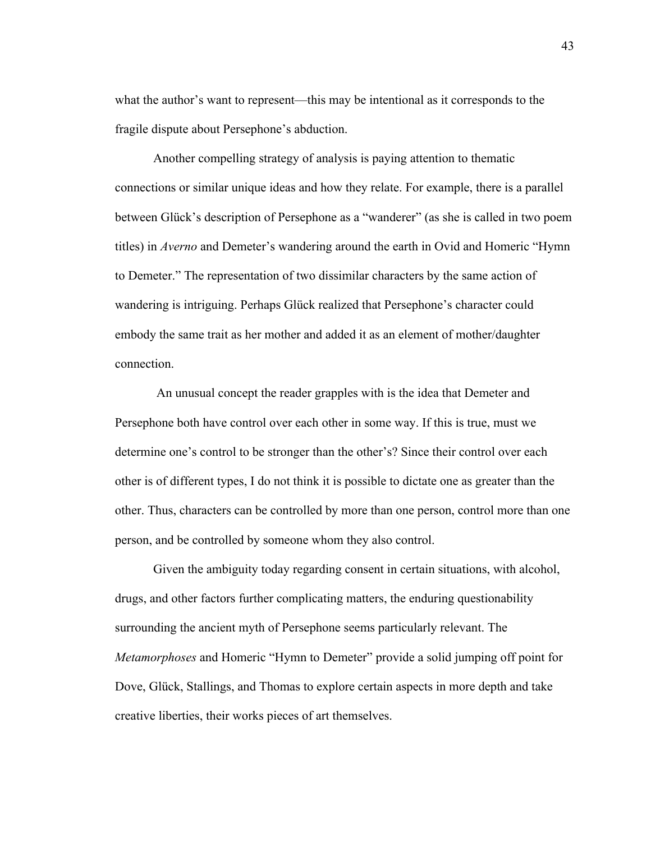what the author's want to represent—this may be intentional as it corresponds to the fragile dispute about Persephone's abduction.

Another compelling strategy of analysis is paying attention to thematic connections or similar unique ideas and how they relate. For example, there is a parallel between Glück's description of Persephone as a "wanderer" (as she is called in two poem titles) in *Averno* and Demeter's wandering around the earth in Ovid and Homeric "Hymn to Demeter." The representation of two dissimilar characters by the same action of wandering is intriguing. Perhaps Glück realized that Persephone's character could embody the same trait as her mother and added it as an element of mother/daughter connection.

An unusual concept the reader grapples with is the idea that Demeter and Persephone both have control over each other in some way. If this is true, must we determine one's control to be stronger than the other's? Since their control over each other is of different types, I do not think it is possible to dictate one as greater than the other. Thus, characters can be controlled by more than one person, control more than one person, and be controlled by someone whom they also control.

Given the ambiguity today regarding consent in certain situations, with alcohol, drugs, and other factors further complicating matters, the enduring questionability surrounding the ancient myth of Persephone seems particularly relevant. The *Metamorphoses* and Homeric "Hymn to Demeter" provide a solid jumping off point for Dove, Glück, Stallings, and Thomas to explore certain aspects in more depth and take creative liberties, their works pieces of art themselves.